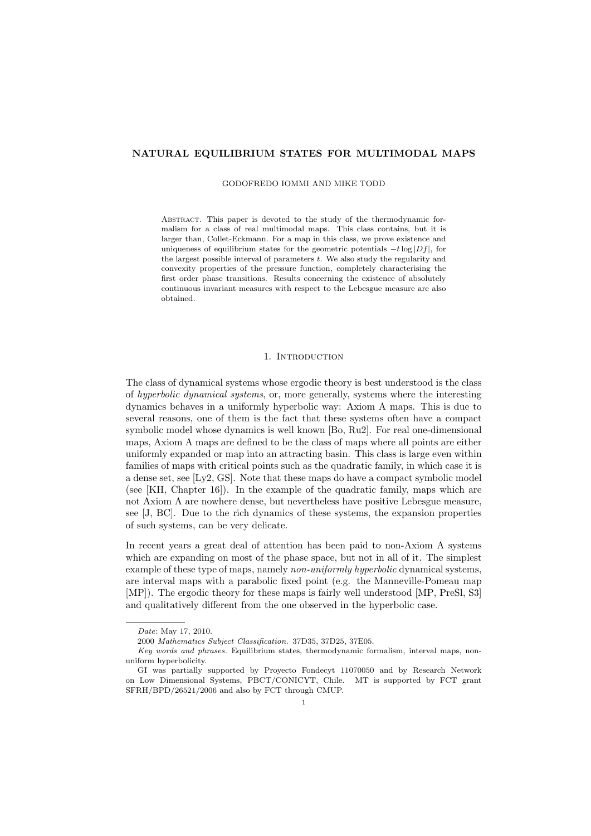#### NATURAL EQUILIBRIUM STATES FOR MULTIMODAL MAPS

GODOFREDO IOMMI AND MIKE TODD

Abstract. This paper is devoted to the study of the thermodynamic formalism for a class of real multimodal maps. This class contains, but it is larger than, Collet-Eckmann. For a map in this class, we prove existence and uniqueness of equilibrium states for the geometric potentials  $-t\log|Df|$ , for the largest possible interval of parameters  $t$ . We also study the regularity and convexity properties of the pressure function, completely characterising the first order phase transitions. Results concerning the existence of absolutely continuous invariant measures with respect to the Lebesgue measure are also obtained.

# 1. Introduction

The class of dynamical systems whose ergodic theory is best understood is the class of hyperbolic dynamical systems, or, more generally, systems where the interesting dynamics behaves in a uniformly hyperbolic way: Axiom A maps. This is due to several reasons, one of them is the fact that these systems often have a compact symbolic model whose dynamics is well known [Bo, Ru2]. For real one-dimensional maps, Axiom A maps are defined to be the class of maps where all points are either uniformly expanded or map into an attracting basin. This class is large even within families of maps with critical points such as the quadratic family, in which case it is a dense set, see [Ly2, GS]. Note that these maps do have a compact symbolic model (see [KH, Chapter 16]). In the example of the quadratic family, maps which are not Axiom A are nowhere dense, but nevertheless have positive Lebesgue measure, see [J, BC]. Due to the rich dynamics of these systems, the expansion properties of such systems, can be very delicate.

In recent years a great deal of attention has been paid to non-Axiom A systems which are expanding on most of the phase space, but not in all of it. The simplest example of these type of maps, namely non-uniformly hyperbolic dynamical systems, are interval maps with a parabolic fixed point (e.g. the Manneville-Pomeau map [MP]). The ergodic theory for these maps is fairly well understood [MP, PreSl, S3] and qualitatively different from the one observed in the hyperbolic case.

Date: May 17, 2010.

<sup>2000</sup> Mathematics Subject Classification. 37D35, 37D25, 37E05.

Key words and phrases. Equilibrium states, thermodynamic formalism, interval maps, nonuniform hyperbolicity.

GI was partially supported by Proyecto Fondecyt 11070050 and by Research Network on Low Dimensional Systems, PBCT/CONICYT, Chile. MT is supported by FCT grant SFRH/BPD/26521/2006 and also by FCT through CMUP.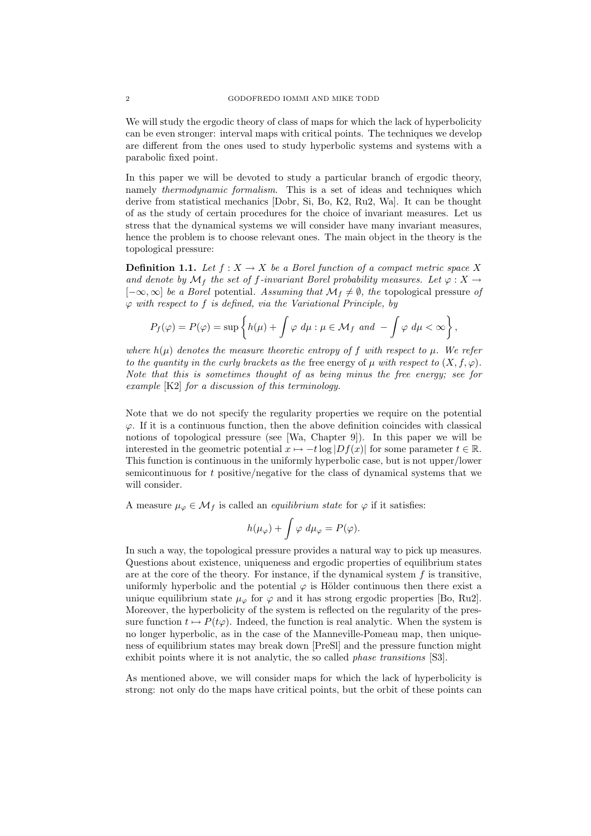We will study the ergodic theory of class of maps for which the lack of hyperbolicity can be even stronger: interval maps with critical points. The techniques we develop are different from the ones used to study hyperbolic systems and systems with a parabolic fixed point.

In this paper we will be devoted to study a particular branch of ergodic theory, namely thermodynamic formalism. This is a set of ideas and techniques which derive from statistical mechanics [Dobr, Si, Bo, K2, Ru2, Wa]. It can be thought of as the study of certain procedures for the choice of invariant measures. Let us stress that the dynamical systems we will consider have many invariant measures, hence the problem is to choose relevant ones. The main object in the theory is the topological pressure:

**Definition 1.1.** Let  $f : X \to X$  be a Borel function of a compact metric space X and denote by  $\mathcal{M}_f$  the set of f-invariant Borel probability measures. Let  $\varphi: X \to$  $[-\infty,\infty]$  be a Borel potential. Assuming that  $\mathcal{M}_f \neq \emptyset$ , the topological pressure of  $\varphi$  with respect to f is defined, via the Variational Principle, by

$$
P_f(\varphi) = P(\varphi) = \sup \left\{ h(\mu) + \int \varphi \, d\mu : \mu \in \mathcal{M}_f \text{ and } -\int \varphi \, d\mu < \infty \right\},\
$$

where  $h(\mu)$  denotes the measure theoretic entropy of f with respect to  $\mu$ . We refer to the quantity in the curly brackets as the free energy of  $\mu$  with respect to  $(X, f, \varphi)$ . Note that this is sometimes thought of as being minus the free energy; see for example [K2] for a discussion of this terminology.

Note that we do not specify the regularity properties we require on the potential  $\varphi$ . If it is a continuous function, then the above definition coincides with classical notions of topological pressure (see [Wa, Chapter 9]). In this paper we will be interested in the geometric potential  $x \mapsto -t \log |Df(x)|$  for some parameter  $t \in \mathbb{R}$ . This function is continuous in the uniformly hyperbolic case, but is not upper/lower semicontinuous for t positive/negative for the class of dynamical systems that we will consider.

A measure  $\mu_{\varphi} \in \mathcal{M}_f$  is called an *equilibrium state* for  $\varphi$  if it satisfies:

$$
h(\mu_{\varphi})+\int\varphi\ d\mu_{\varphi}=P(\varphi).
$$

In such a way, the topological pressure provides a natural way to pick up measures. Questions about existence, uniqueness and ergodic properties of equilibrium states are at the core of the theory. For instance, if the dynamical system  $f$  is transitive, uniformly hyperbolic and the potential  $\varphi$  is Hölder continuous then there exist a unique equilibrium state  $\mu_{\varphi}$  for  $\varphi$  and it has strong ergodic properties [Bo, Ru2]. Moreover, the hyperbolicity of the system is reflected on the regularity of the pressure function  $t \mapsto P(t\varphi)$ . Indeed, the function is real analytic. When the system is no longer hyperbolic, as in the case of the Manneville-Pomeau map, then uniqueness of equilibrium states may break down [PreSl] and the pressure function might exhibit points where it is not analytic, the so called *phase transitions* [S3].

As mentioned above, we will consider maps for which the lack of hyperbolicity is strong: not only do the maps have critical points, but the orbit of these points can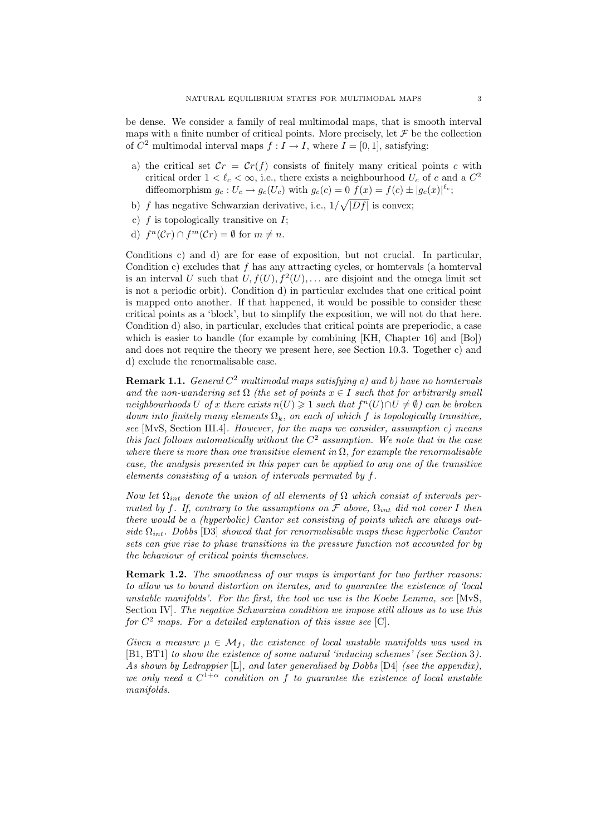be dense. We consider a family of real multimodal maps, that is smooth interval maps with a finite number of critical points. More precisely, let  $\mathcal F$  be the collection of  $C^2$  multimodal interval maps  $f: I \to I$ , where  $I = [0, 1]$ , satisfying:

- a) the critical set  $\mathcal{C}r = \mathcal{C}r(f)$  consists of finitely many critical points c with critical order  $1 < \ell_c < \infty$ , i.e., there exists a neighbourhood  $U_c$  of c and a  $C^2$ diffeomorphism  $g_c: U_c \to g_c(U_c)$  with  $g_c(c) = 0$   $f(x) = f(c) \pm |g_c(x)|^{\ell_c}$ ;
- b)  $f$  has negative Schwarzian derivative, i.e.,  $1/\sqrt{|Df|}$  is convex;
- c)  $f$  is topologically transitive on  $I$ ;
- d)  $f^{n}(\mathcal{C}_{T}) \cap f^{m}(\mathcal{C}_{T}) = \emptyset$  for  $m \neq n$ .

Conditions c) and d) are for ease of exposition, but not crucial. In particular, Condition c) excludes that f has any attracting cycles, or homtervals (a homterval is an interval U such that  $U, f(U), f^2(U), \ldots$  are disjoint and the omega limit set is not a periodic orbit). Condition d) in particular excludes that one critical point is mapped onto another. If that happened, it would be possible to consider these critical points as a 'block', but to simplify the exposition, we will not do that here. Condition d) also, in particular, excludes that critical points are preperiodic, a case which is easier to handle (for example by combining [KH, Chapter 16] and [Bo]) and does not require the theory we present here, see Section 10.3. Together c) and d) exclude the renormalisable case.

**Remark 1.1.** General  $C^2$  multimodal maps satisfying a) and b) have no homtervals and the non-wandering set  $\Omega$  (the set of points  $x \in I$  such that for arbitrarily small neighbourhoods U of x there exists  $n(U) \geq 1$  such that  $f^n(U) \cap U \neq \emptyset$  can be broken down into finitely many elements  $\Omega_k$ , on each of which f is topologically transitive, see [MvS, Section III.4]. However, for the maps we consider, assumption c) means this fact follows automatically without the  $C<sup>2</sup>$  assumption. We note that in the case where there is more than one transitive element in  $\Omega$ , for example the renormalisable case, the analysis presented in this paper can be applied to any one of the transitive elements consisting of a union of intervals permuted by f.

Now let  $\Omega_{int}$  denote the union of all elements of  $\Omega$  which consist of intervals permuted by f. If, contrary to the assumptions on  $\mathcal F$  above,  $\Omega_{int}$  did not cover I then there would be a (hyperbolic) Cantor set consisting of points which are always outside  $\Omega_{int}$ . Dobbs [D3] showed that for renormalisable maps these hyperbolic Cantor sets can give rise to phase transitions in the pressure function not accounted for by the behaviour of critical points themselves.

**Remark 1.2.** The smoothness of our maps is important for two further reasons: to allow us to bound distortion on iterates, and to guarantee the existence of 'local unstable manifolds'. For the first, the tool we use is the Koebe Lemma, see  $[NvS,$ Section IV. The negative Schwarzian condition we impose still allows us to use this for  $C^2$  maps. For a detailed explanation of this issue see [C].

Given a measure  $\mu \in \mathcal{M}_f$ , the existence of local unstable manifolds was used in [B1, BT1] to show the existence of some natural 'inducing schemes' (see Section 3). As shown by Ledrappier [L], and later generalised by Dobbs [D4] (see the appendix), we only need a  $C^{1+\alpha}$  condition on f to guarantee the existence of local unstable manifolds.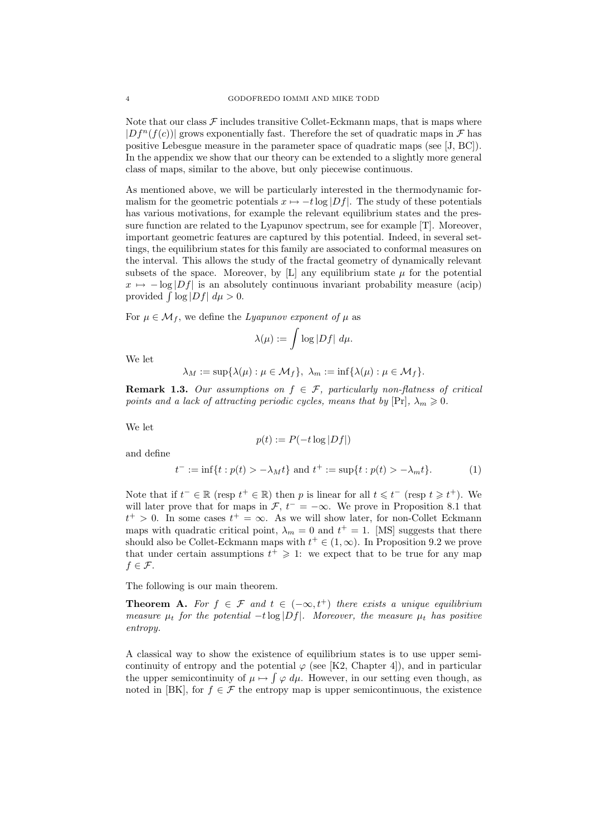Note that our class  $\mathcal F$  includes transitive Collet-Eckmann maps, that is maps where  $|Df^{n}(f(c))|$  grows exponentially fast. Therefore the set of quadratic maps in F has positive Lebesgue measure in the parameter space of quadratic maps (see [J, BC]). In the appendix we show that our theory can be extended to a slightly more general class of maps, similar to the above, but only piecewise continuous.

As mentioned above, we will be particularly interested in the thermodynamic formalism for the geometric potentials  $x \mapsto -t \log |Df|$ . The study of these potentials has various motivations, for example the relevant equilibrium states and the pressure function are related to the Lyapunov spectrum, see for example [T]. Moreover, important geometric features are captured by this potential. Indeed, in several settings, the equilibrium states for this family are associated to conformal measures on the interval. This allows the study of the fractal geometry of dynamically relevant subsets of the space. Moreover, by [L] any equilibrium state  $\mu$  for the potential  $x \mapsto -\log|Df|$  is an absolutely continuous invariant probability measure (acip) provided  $\int \log|Df| d\mu > 0$ .

For  $\mu \in \mathcal{M}_f$ , we define the Lyapunov exponent of  $\mu$  as

$$
\lambda(\mu):=\int \log |Df| \ d\mu.
$$

We let

$$
\lambda_M := \sup \{ \lambda(\mu) : \mu \in \mathcal{M}_f \}, \ \lambda_m := \inf \{ \lambda(\mu) : \mu \in \mathcal{M}_f \}.
$$

**Remark 1.3.** Our assumptions on  $f \in \mathcal{F}$ , particularly non-flatness of critical points and a lack of attracting periodic cycles, means that by  $[Pr], \lambda_m \geq 0$ .

We let

$$
p(t):=P(-t\log|Df|)
$$

and define

$$
t^- := \inf\{t : p(t) > -\lambda_M t\} \text{ and } t^+ := \sup\{t : p(t) > -\lambda_m t\}. \tag{1}
$$

Note that if  $t^- \in \mathbb{R}$  (resp  $t^+ \in \mathbb{R}$ ) then p is linear for all  $t \leq t^-$  (resp  $t \geq t^+$ ). We will later prove that for maps in  $\mathcal{F}$ ,  $t^- = -\infty$ . We prove in Proposition 8.1 that  $t^+ > 0$ . In some cases  $t^+ = \infty$ . As we will show later, for non-Collet Eckmann maps with quadratic critical point,  $\lambda_m = 0$  and  $t^+ = 1$ . [MS] suggests that there should also be Collet-Eckmann maps with  $t^+ \in (1,\infty)$ . In Proposition 9.2 we prove that under certain assumptions  $t^+ \geq 1$ : we expect that to be true for any map  $f \in \mathcal{F}$ .

The following is our main theorem.

**Theorem A.** For  $f \in \mathcal{F}$  and  $t \in (-\infty, t^+)$  there exists a unique equilibrium measure  $\mu_t$  for the potential  $-t \log|Df|$ . Moreover, the measure  $\mu_t$  has positive entropy.

A classical way to show the existence of equilibrium states is to use upper semicontinuity of entropy and the potential  $\varphi$  (see [K2, Chapter 4]), and in particular the upper semicontinuity of  $\mu \mapsto \int \varphi \, d\mu$ . However, in our setting even though, as noted in [BK], for  $f \in \mathcal{F}$  the entropy map is upper semicontinuous, the existence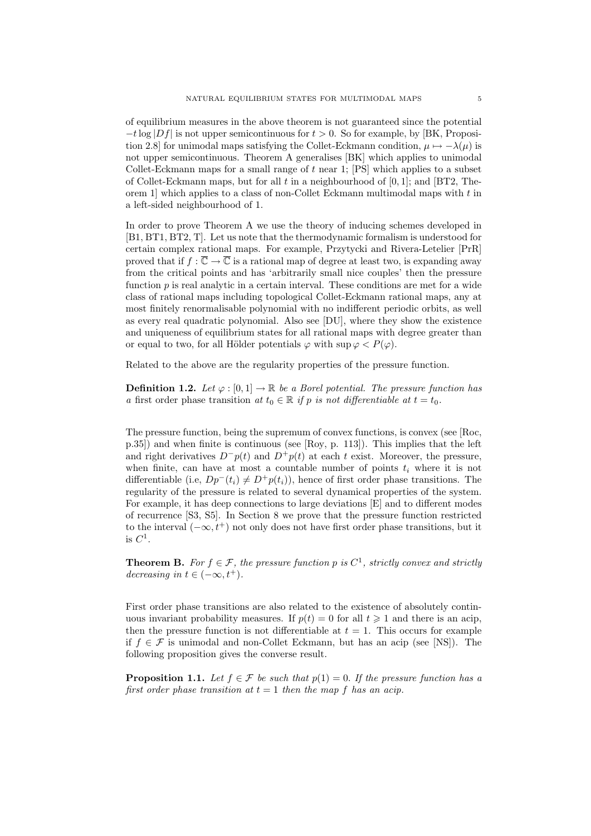of equilibrium measures in the above theorem is not guaranteed since the potential  $-t\log|Df|$  is not upper semicontinuous for  $t > 0$ . So for example, by [BK, Proposition 2.8] for unimodal maps satisfying the Collet-Eckmann condition,  $\mu \mapsto -\lambda(\mu)$  is not upper semicontinuous. Theorem A generalises [BK] which applies to unimodal Collet-Eckmann maps for a small range of t near 1; [PS] which applies to a subset of Collet-Eckmann maps, but for all t in a neighbourhood of  $[0, 1]$ ; and  $[BT2, The$ orem 1] which applies to a class of non-Collet Eckmann multimodal maps with  $t$  in a left-sided neighbourhood of 1.

In order to prove Theorem A we use the theory of inducing schemes developed in [B1, BT1, BT2, T]. Let us note that the thermodynamic formalism is understood for certain complex rational maps. For example, Przytycki and Rivera-Letelier [PrR] proved that if  $f : \overline{\mathbb{C}} \to \overline{\mathbb{C}}$  is a rational map of degree at least two, is expanding away from the critical points and has 'arbitrarily small nice couples' then the pressure function  $p$  is real analytic in a certain interval. These conditions are met for a wide class of rational maps including topological Collet-Eckmann rational maps, any at most finitely renormalisable polynomial with no indifferent periodic orbits, as well as every real quadratic polynomial. Also see [DU], where they show the existence and uniqueness of equilibrium states for all rational maps with degree greater than or equal to two, for all Hölder potentials  $\varphi$  with sup  $\varphi < P(\varphi)$ .

Related to the above are the regularity properties of the pressure function.

**Definition 1.2.** Let  $\varphi : [0,1] \to \mathbb{R}$  be a Borel potential. The pressure function has a first order phase transition at  $t_0 \in \mathbb{R}$  if p is not differentiable at  $t = t_0$ .

The pressure function, being the supremum of convex functions, is convex (see [Roc, p.35]) and when finite is continuous (see [Roy, p. 113]). This implies that the left and right derivatives  $D^-p(t)$  and  $D^+p(t)$  at each t exist. Moreover, the pressure, when finite, can have at most a countable number of points  $t_i$  where it is not differentiable (i.e,  $Dp^-(t_i) \neq D^+p(t_i)$ ), hence of first order phase transitions. The regularity of the pressure is related to several dynamical properties of the system. For example, it has deep connections to large deviations [E] and to different modes of recurrence [S3, S5]. In Section 8 we prove that the pressure function restricted to the interval  $(-\infty, t^+)$  not only does not have first order phase transitions, but it is  $C^1$ .

**Theorem B.** For  $f \in \mathcal{F}$ , the pressure function p is  $C^1$ , strictly convex and strictly decreasing in  $t \in (-\infty, t^+).$ 

First order phase transitions are also related to the existence of absolutely continuous invariant probability measures. If  $p(t) = 0$  for all  $t \ge 1$  and there is an acip, then the pressure function is not differentiable at  $t = 1$ . This occurs for example if  $f \in \mathcal{F}$  is unimodal and non-Collet Eckmann, but has an acip (see [NS]). The following proposition gives the converse result.

**Proposition 1.1.** Let  $f \in \mathcal{F}$  be such that  $p(1) = 0$ . If the pressure function has a first order phase transition at  $t = 1$  then the map f has an acip.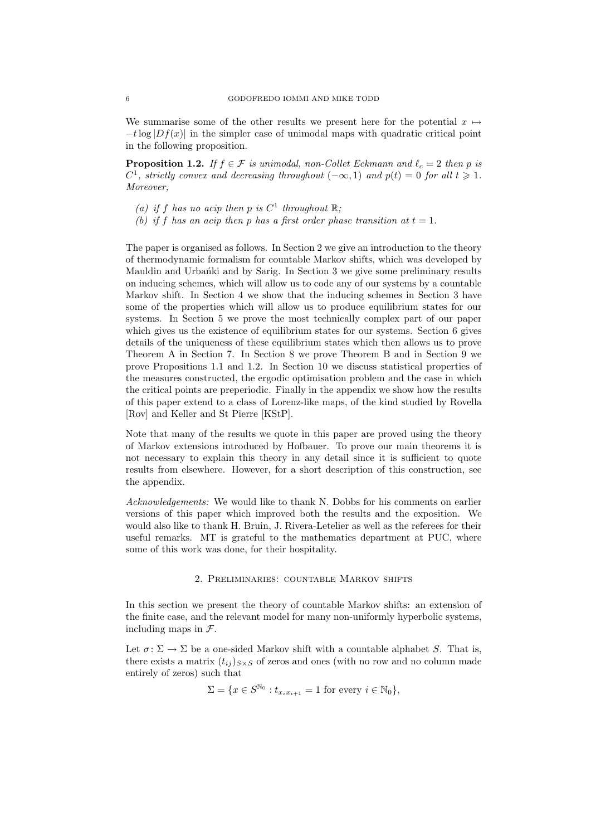We summarise some of the other results we present here for the potential  $x \mapsto$  $-t\log|Df(x)|$  in the simpler case of unimodal maps with quadratic critical point in the following proposition.

**Proposition 1.2.** If  $f \in \mathcal{F}$  is unimodal, non-Collet Eckmann and  $\ell_c = 2$  then p is  $C^1$ , strictly convex and decreasing throughout  $(-\infty, 1)$  and  $p(t)=0$  for all  $t \geq 1$ . Moreover,

- (a) if f has no acip then p is  $C^1$  throughout  $\mathbb{R}$ ;
- (b) if f has an acip then p has a first order phase transition at  $t = 1$ .

The paper is organised as follows. In Section 2 we give an introduction to the theory of thermodynamic formalism for countable Markov shifts, which was developed by Mauldin and Urbanki and by Sarig. In Section 3 we give some preliminary results on inducing schemes, which will allow us to code any of our systems by a countable Markov shift. In Section 4 we show that the inducing schemes in Section 3 have some of the properties which will allow us to produce equilibrium states for our systems. In Section 5 we prove the most technically complex part of our paper which gives us the existence of equilibrium states for our systems. Section 6 gives details of the uniqueness of these equilibrium states which then allows us to prove Theorem A in Section 7. In Section 8 we prove Theorem B and in Section 9 we prove Propositions 1.1 and 1.2. In Section 10 we discuss statistical properties of the measures constructed, the ergodic optimisation problem and the case in which the critical points are preperiodic. Finally in the appendix we show how the results of this paper extend to a class of Lorenz-like maps, of the kind studied by Rovella [Rov] and Keller and St Pierre [KStP].

Note that many of the results we quote in this paper are proved using the theory of Markov extensions introduced by Hofbauer. To prove our main theorems it is not necessary to explain this theory in any detail since it is sufficient to quote results from elsewhere. However, for a short description of this construction, see the appendix.

Acknowledgements: We would like to thank N. Dobbs for his comments on earlier versions of this paper which improved both the results and the exposition. We would also like to thank H. Bruin, J. Rivera-Letelier as well as the referees for their useful remarks. MT is grateful to the mathematics department at PUC, where some of this work was done, for their hospitality.

### 2. Preliminaries: countable Markov shifts

In this section we present the theory of countable Markov shifts: an extension of the finite case, and the relevant model for many non-uniformly hyperbolic systems, including maps in  $\mathcal{F}$ .

Let  $\sigma \colon \Sigma \to \Sigma$  be a one-sided Markov shift with a countable alphabet S. That is, there exists a matrix  $(t_{ii})_{S\times S}$  of zeros and ones (with no row and no column made entirely of zeros) such that

$$
\Sigma = \{ x \in S^{\mathbb{N}_0} : t_{x_i x_{i+1}} = 1 \text{ for every } i \in \mathbb{N}_0 \},
$$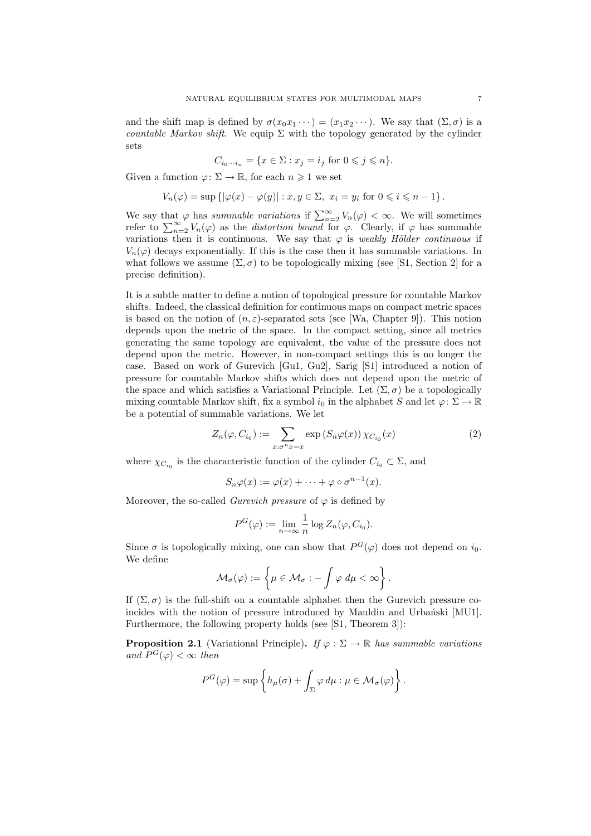and the shift map is defined by  $\sigma(x_0x_1 \cdots) = (x_1x_2 \cdots)$ . We say that  $(\Sigma, \sigma)$  is a countable Markov shift. We equip  $\Sigma$  with the topology generated by the cylinder sets

$$
C_{i_0\cdots i_n} = \{x \in \Sigma : x_j = i_j \text{ for } 0 \leqslant j \leqslant n\}.
$$

Given a function  $\varphi: \Sigma \to \mathbb{R}$ , for each  $n \geq 1$  we set

$$
V_n(\varphi) = \sup \left\{ |\varphi(x) - \varphi(y)| : x, y \in \Sigma, \ x_i = y_i \text{ for } 0 \leq i \leq n-1 \right\}.
$$

We say that  $\varphi$  has summable variations if  $\sum_{n=2}^{\infty} V_n(\varphi) < \infty$ . We will sometimes refer to  $\sum_{n=2}^{\infty} V_n(\varphi)$  as the *distortion bound* for  $\varphi$ . Clearly, if  $\varphi$  has summable variations then it is continuous. We say that  $\varphi$  is weakly Hölder continuous if  $V_n(\varphi)$  decays exponentially. If this is the case then it has summable variations. In what follows we assume  $(\Sigma, \sigma)$  to be topologically mixing (see [S1, Section 2] for a precise definition).

It is a subtle matter to define a notion of topological pressure for countable Markov shifts. Indeed, the classical definition for continuous maps on compact metric spaces is based on the notion of  $(n, \varepsilon)$ -separated sets (see [Wa, Chapter 9]). This notion depends upon the metric of the space. In the compact setting, since all metrics generating the same topology are equivalent, the value of the pressure does not depend upon the metric. However, in non-compact settings this is no longer the case. Based on work of Gurevich [Gu1, Gu2], Sarig [S1] introduced a notion of pressure for countable Markov shifts which does not depend upon the metric of the space and which satisfies a Variational Principle. Let  $(\Sigma, \sigma)$  be a topologically mixing countable Markov shift, fix a symbol  $i_0$  in the alphabet S and let  $\varphi \colon \Sigma \to \mathbb{R}$ be a potential of summable variations. We let

$$
Z_n(\varphi, C_{i_0}) := \sum_{x:\sigma^n x = x} \exp\left(S_n \varphi(x)\right) \chi_{C_{i_0}}(x) \tag{2}
$$

where  $\chi_{C_{i_0}}$  is the characteristic function of the cylinder  $C_{i_0} \subset \Sigma$ , and

$$
S_n\varphi(x):=\varphi(x)+\cdots+\varphi\circ\sigma^{n-1}(x).
$$

Moreover, the so-called *Gurevich pressure* of  $\varphi$  is defined by

$$
P^{G}(\varphi) := \lim_{n \to \infty} \frac{1}{n} \log Z_n(\varphi, C_{i_0}).
$$

Since  $\sigma$  is topologically mixing, one can show that  $P^G(\varphi)$  does not depend on  $i_0$ . We define

$$
\mathcal{M}_{\sigma}(\varphi) := \left\{ \mu \in \mathcal{M}_{\sigma} : - \int \varphi \, d\mu < \infty \right\}.
$$

If  $(\Sigma, \sigma)$  is the full-shift on a countable alphabet then the Gurevich pressure coincides with the notion of pressure introduced by Mauldin and Urbański [MU1]. Furthermore, the following property holds (see [S1, Theorem 3]):

**Proposition 2.1** (Variational Principle). If  $\varphi : \Sigma \to \mathbb{R}$  has summable variations and  $P^G(\varphi) < \infty$  then

$$
P^{G}(\varphi) = \sup \left\{ h_{\mu}(\sigma) + \int_{\Sigma} \varphi \, d\mu : \mu \in \mathcal{M}_{\sigma}(\varphi) \right\}.
$$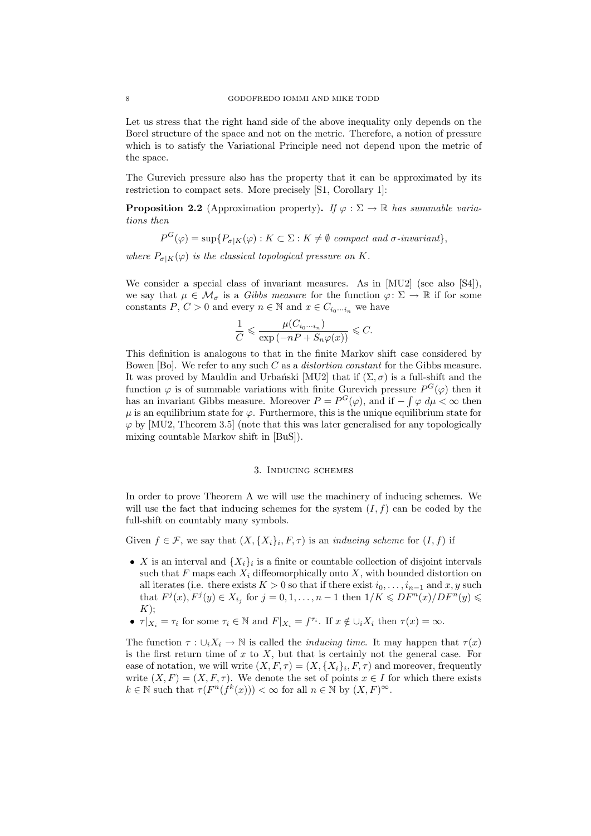Let us stress that the right hand side of the above inequality only depends on the Borel structure of the space and not on the metric. Therefore, a notion of pressure which is to satisfy the Variational Principle need not depend upon the metric of the space.

The Gurevich pressure also has the property that it can be approximated by its restriction to compact sets. More precisely [S1, Corollary 1]:

**Proposition 2.2** (Approximation property). If  $\varphi : \Sigma \to \mathbb{R}$  has summable variations then

 $P^G(\varphi) = \sup\{P_{\sigma|K}(\varphi) : K \subset \Sigma : K \neq \emptyset \text{ compact and } \sigma\text{-invariant}\},\$ 

where  $P_{\sigma|K}(\varphi)$  is the classical topological pressure on K.

We consider a special class of invariant measures. As in [MU2] (see also [S4]), we say that  $\mu \in \mathcal{M}_{\sigma}$  is a *Gibbs measure* for the function  $\varphi \colon \Sigma \to \mathbb{R}$  if for some constants P,  $C > 0$  and every  $n \in \mathbb{N}$  and  $x \in C_{i_0 \cdots i_n}$  we have

$$
\frac{1}{C} \leqslant \frac{\mu(C_{i_0 \cdots i_n})}{\exp \left( -nP + S_n \varphi(x) \right)} \leqslant C.
$$

This definition is analogous to that in the finite Markov shift case considered by Bowen [Bo]. We refer to any such C as a distortion constant for the Gibbs measure. It was proved by Mauldin and Urbański [MU2] that if  $(\Sigma, \sigma)$  is a full-shift and the function  $\varphi$  is of summable variations with finite Gurevich pressure  $P^G(\varphi)$  then it has an invariant Gibbs measure. Moreover  $P = P^G(\varphi)$ , and if  $-\int \varphi \, d\mu < \infty$  then  $\mu$  is an equilibrium state for  $\varphi$ . Furthermore, this is the unique equilibrium state for  $\varphi$  by [MU2, Theorem 3.5] (note that this was later generalised for any topologically mixing countable Markov shift in [BuS]).

#### 3. Inducing schemes

In order to prove Theorem A we will use the machinery of inducing schemes. We will use the fact that inducing schemes for the system  $(I, f)$  can be coded by the full-shift on countably many symbols.

Given  $f \in \mathcal{F}$ , we say that  $(X, \{X_i\}_i, F, \tau)$  is an *inducing scheme* for  $(I, f)$  if

- X is an interval and  $\{X_i\}_i$  is a finite or countable collection of disjoint intervals such that F maps each  $X_i$  diffeomorphically onto X, with bounded distortion on all iterates (i.e. there exists  $K > 0$  so that if there exist  $i_0, \ldots, i_{n-1}$  and  $x, y$  such that  $F^j(x)$ ,  $F^j(y) \in X_{i_j}$  for  $j = 0, 1, \ldots, n - 1$  then  $1/K \leqslant DF^n(x)/DF^n(y) \leqslant$  $K);$
- $\tau |_{X_i} = \tau_i$  for some  $\tau_i \in \mathbb{N}$  and  $F|_{X_i} = f^{\tau_i}$ . If  $x \notin \bigcup_i X_i$  then  $\tau(x) = \infty$ .

The function  $\tau : \bigcup_i X_i \to \mathbb{N}$  is called the *inducing time*. It may happen that  $\tau(x)$ is the first return time of  $x$  to  $X$ , but that is certainly not the general case. For ease of notation, we will write  $(X, F, \tau) = (X, \{X_i\}_i, F, \tau)$  and moreover, frequently write  $(X, F) = (X, F, \tau)$ . We denote the set of points  $x \in I$  for which there exists  $k \in \mathbb{N}$  such that  $\tau(F^n(f^k(x))) < \infty$  for all  $n \in \mathbb{N}$  by  $(X, F)^\infty$ .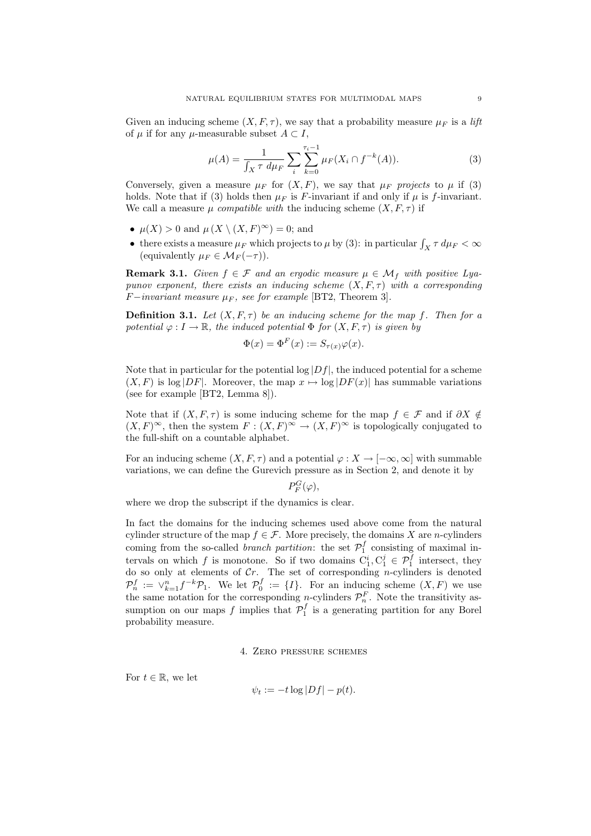Given an inducing scheme  $(X, F, \tau)$ , we say that a probability measure  $\mu_F$  is a lift of  $\mu$  if for any  $\mu$ -measurable subset  $A \subset I$ ,

$$
\mu(A) = \frac{1}{\int_X \tau \, d\mu_F} \sum_i \sum_{k=0}^{\tau_i - 1} \mu_F(X_i \cap f^{-k}(A)). \tag{3}
$$

Conversely, given a measure  $\mu_F$  for  $(X, F)$ , we say that  $\mu_F$  projects to  $\mu$  if (3) holds. Note that if (3) holds then  $\mu_F$  is F-invariant if and only if  $\mu$  is f-invariant. We call a measure  $\mu$  compatible with the inducing scheme  $(X, F, \tau)$  if

- $\mu(X) > 0$  and  $\mu(X \setminus (X, F)^\infty) = 0$ ; and
- there exists a measure  $\mu_F$  which projects to  $\mu$  by (3): in particular  $\int_X \tau \, d\mu_F < \infty$ (equivalently  $\mu_F \in \mathcal{M}_F(-\tau)$ ).

**Remark 3.1.** Given  $f \in \mathcal{F}$  and an ergodic measure  $\mu \in \mathcal{M}_f$  with positive Lyapunov exponent, there exists an inducing scheme  $(X, F, \tau)$  with a corresponding  $F-invariant measure \mu_F$ , see for example [BT2, Theorem 3].

**Definition 3.1.** Let  $(X, F, \tau)$  be an inducing scheme for the map f. Then for a potential  $\varphi: I \to \mathbb{R}$ , the induced potential  $\Phi$  for  $(X, F, \tau)$  is given by

$$
\Phi(x) = \Phi^F(x) := S_{\tau(x)}\varphi(x).
$$

Note that in particular for the potential  $log|Df|$ , the induced potential for a scheme  $(X, F)$  is log  $|DF|$ . Moreover, the map  $x \mapsto \log |DF(x)|$  has summable variations (see for example [BT2, Lemma 8]).

Note that if  $(X, F, \tau)$  is some inducing scheme for the map  $f \in \mathcal{F}$  and if  $\partial X \notin$  $(X, F)^\infty$ , then the system  $F : (X, F)^\infty \to (X, F)^\infty$  is topologically conjugated to the full-shift on a countable alphabet.

For an inducing scheme  $(X, F, \tau)$  and a potential  $\varphi : X \to [-\infty, \infty]$  with summable variations, we can define the Gurevich pressure as in Section 2, and denote it by

 $P_F^G(\varphi),$ 

where we drop the subscript if the dynamics is clear.

In fact the domains for the inducing schemes used above come from the natural cylinder structure of the map  $f \in \mathcal{F}$ . More precisely, the domains X are n-cylinders coming from the so-called *branch partition*: the set  $\mathcal{P}_1^f$  consisting of maximal intervals on which f is monotone. So if two domains  $C_1^i, C_1^j \in \mathcal{P}_1^f$  intersect, they do so only at elements of  $Cr$ . The set of corresponding *n*-cylinders is denoted  $\mathcal{P}_n^f := \vee_{k=1}^n f^{-k} \mathcal{P}_1$ . We let  $\mathcal{P}_0^f := \{I\}$ . For an inducing scheme  $(X, F)$  we use the same notation for the corresponding *n*-cylinders  $\mathcal{P}_n^F$ . Note the transitivity assumption on our maps f implies that  $\mathcal{P}_1^f$  is a generating partition for any Borel probability measure.

4. Zero pressure schemes

For  $t \in \mathbb{R}$ , we let

$$
\psi_t := -t \log |Df| - p(t).
$$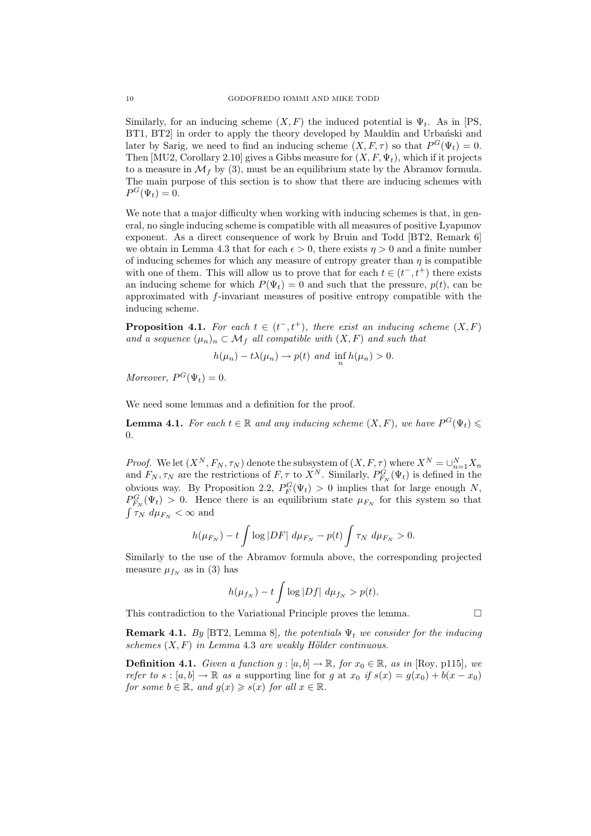Similarly, for an inducing scheme  $(X, F)$  the induced potential is  $\Psi_t$ . As in [PS, BT1, BT2 in order to apply the theory developed by Mauldin and Urbanski and later by Sarig, we need to find an inducing scheme  $(X, F, \tau)$  so that  $P^G(\Psi_t) = 0$ . Then [MU2, Corollary 2.10] gives a Gibbs measure for  $(X, F, \Psi_t)$ , which if it projects to a measure in  $\mathcal{M}_f$  by (3), must be an equilibrium state by the Abramov formula. The main purpose of this section is to show that there are inducing schemes with  $P^G(\Psi_t)=0.$ 

We note that a major difficulty when working with inducing schemes is that, in general, no single inducing scheme is compatible with all measures of positive Lyapunov exponent. As a direct consequence of work by Bruin and Todd [BT2, Remark 6] we obtain in Lemma 4.3 that for each  $\epsilon > 0$ , there exists  $\eta > 0$  and a finite number of inducing schemes for which any measure of entropy greater than  $\eta$  is compatible with one of them. This will allow us to prove that for each  $t \in (t^-, t^+)$  there exists an inducing scheme for which  $P(\Psi_t) = 0$  and such that the pressure,  $p(t)$ , can be approximated with f-invariant measures of positive entropy compatible with the inducing scheme.

**Proposition 4.1.** For each  $t \in (t^-, t^+)$ , there exist an inducing scheme  $(X, F)$ and a sequence  $(\mu_n)_n \subset \mathcal{M}_f$  all compatible with  $(X, F)$  and such that

 $h(\mu_n) - t\lambda(\mu_n) \to p(t)$  and  $\inf_n h(\mu_n) > 0$ .

Moreover,  $P^G(\Psi_t)=0$ .

We need some lemmas and a definition for the proof.

**Lemma 4.1.** For each  $t \in \mathbb{R}$  and any inducing scheme  $(X, F)$ , we have  $P^G(\Psi_t) \leq$  $\theta$ .

*Proof.* We let  $(X^N, F_N, \tau_N)$  denote the subsystem of  $(X, F, \tau)$  where  $X^N = \bigcup_{n=1}^N X_n$ and  $F_N, \tau_N$  are the restrictions of  $F, \tau$  to  $X^N$ . Similarly,  $P_{F_N}^G(\Psi_t)$  is defined in the obvious way. By Proposition 2.2,  $P_F^G(\Psi_t) > 0$  implies that for large enough N,  $P_{F_N}^G(\Psi_t) > 0$ . Hence there is an equilibrium state  $\mu_{F_N}$  for this system so that  $\int \tau_N d\mu_{F_N} < \infty$  and

$$
h(\mu_{F_N}) - t \int \log |DF| d\mu_{F_N} - p(t) \int \tau_N d\mu_{F_N} > 0.
$$

Similarly to the use of the Abramov formula above, the corresponding projected measure  $\mu_{fN}$  as in (3) has

$$
h(\mu_{f_N}) - t \int \log |Df| \ d\mu_{f_N} > p(t).
$$

This contradiction to the Variational Principle proves the lemma.  $\Box$ 

**Remark 4.1.** By [BT2, Lemma 8], the potentials  $\Psi_t$  we consider for the inducing schemes  $(X, F)$  in Lemma 4.3 are weakly Hölder continuous.

**Definition 4.1.** Given a function  $g : [a, b] \to \mathbb{R}$ , for  $x_0 \in \mathbb{R}$ , as in [Roy, p115], we refer to  $s : [a, b] \to \mathbb{R}$  as a supporting line for g at  $x_0$  if  $s(x) = g(x_0) + b(x - x_0)$ for some  $b \in \mathbb{R}$ , and  $g(x) \geqslant s(x)$  for all  $x \in \mathbb{R}$ .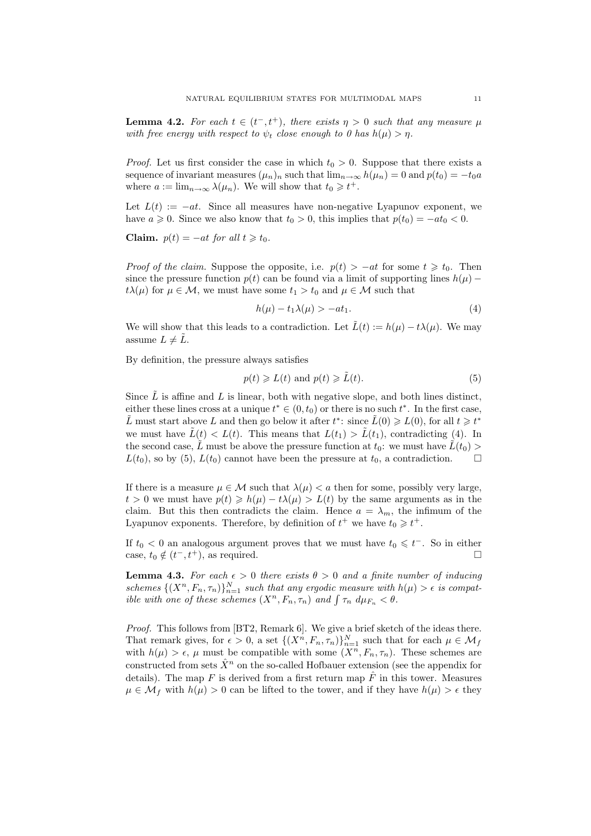**Lemma 4.2.** For each  $t \in (t^-, t^+)$ , there exists  $\eta > 0$  such that any measure  $\mu$ with free energy with respect to  $\psi_t$  close enough to 0 has  $h(\mu) > \eta$ .

*Proof.* Let us first consider the case in which  $t_0 > 0$ . Suppose that there exists a sequence of invariant measures  $(\mu_n)_n$  such that  $\lim_{n\to\infty} h(\mu_n)=0$  and  $p(t_0)=-t_0a$ where  $a := \lim_{n \to \infty} \lambda(\mu_n)$ . We will show that  $t_0 \geq t^+$ .

Let  $L(t) := -at$ . Since all measures have non-negative Lyapunov exponent, we have  $a \ge 0$ . Since we also know that  $t_0 > 0$ , this implies that  $p(t_0) = -at_0 < 0$ .

Claim.  $p(t) = -at$  for all  $t \geq t_0$ .

*Proof of the claim.* Suppose the opposite, i.e.  $p(t) > -at$  for some  $t \geq t_0$ . Then since the pressure function  $p(t)$  can be found via a limit of supporting lines  $h(\mu)$  −  $t\lambda(\mu)$  for  $\mu \in \mathcal{M}$ , we must have some  $t_1 > t_0$  and  $\mu \in \mathcal{M}$  such that

$$
h(\mu) - t_1 \lambda(\mu) > -at_1. \tag{4}
$$

We will show that this leads to a contradiction. Let  $\tilde{L}(t) := h(\mu) - t\lambda(\mu)$ . We may assume  $L \neq L$ .

By definition, the pressure always satisfies

$$
p(t) \ge L(t) \text{ and } p(t) \ge \tilde{L}(t). \tag{5}
$$

Since  $\tilde{L}$  is affine and L is linear, both with negative slope, and both lines distinct, either these lines cross at a unique  $t^* \in (0, t_0)$  or there is no such  $t^*$ . In the first case,  $\tilde{L}$  must start above L and then go below it after  $t^*$ : since  $\tilde{L}(0) \geq L(0)$ , for all  $t \geq t^*$ we must have  $\tilde{L}(t) < L(t)$ . This means that  $L(t_1) > \tilde{L}(t_1)$ , contradicting (4). In the second case,  $\tilde{L}$  must be above the pressure function at  $t_0$ : we must have  $\tilde{L}(t_0)$  $L(t_0)$ , so by (5),  $L(t_0)$  cannot have been the pressure at  $t_0$ , a contradiction.  $\Box$ 

If there is a measure  $\mu \in \mathcal{M}$  such that  $\lambda(\mu) < a$  then for some, possibly very large,  $t > 0$  we must have  $p(t) \ge h(\mu) - t\lambda(\mu) > L(t)$  by the same arguments as in the claim. But this then contradicts the claim. Hence  $a = \lambda_m$ , the infimum of the Lyapunov exponents. Therefore, by definition of  $t^+$  we have  $t_0 \geq t^+$ .

If  $t_0 < 0$  an analogous argument proves that we must have  $t_0 \leq t^-$ . So in either case,  $t_0 \notin (t^-, t^+)$ , as required.

**Lemma 4.3.** For each  $\epsilon > 0$  there exists  $\theta > 0$  and a finite number of inducing schemes  $\{(X^n, F_n, \tau_n)\}_{n=1}^N$  such that any ergodic measure with  $h(\mu) > \epsilon$  is compatible with one of these schemes  $(X^n, F_n, \tau_n)$  and  $\int \tau_n d\mu_{F_n} < \theta$ .

Proof. This follows from [BT2, Remark 6]. We give a brief sketch of the ideas there. That remark gives, for  $\epsilon > 0$ , a set  $\{(X^n, F_n, \tau_n)\}_{n=1}^N$  such that for each  $\mu \in \mathcal{M}_f$ with  $h(\mu) > \epsilon$ ,  $\mu$  must be compatible with some  $(X^n, F_n, \tau_n)$ . These schemes are constructed from sets  $\hat{X}^n$  on the so-called Hofbauer extension (see the appendix for details). The map F is derived from a first return map  $\hat{F}$  in this tower. Measures  $\mu \in \mathcal{M}_f$  with  $h(\mu) > 0$  can be lifted to the tower, and if they have  $h(\mu) > \epsilon$  they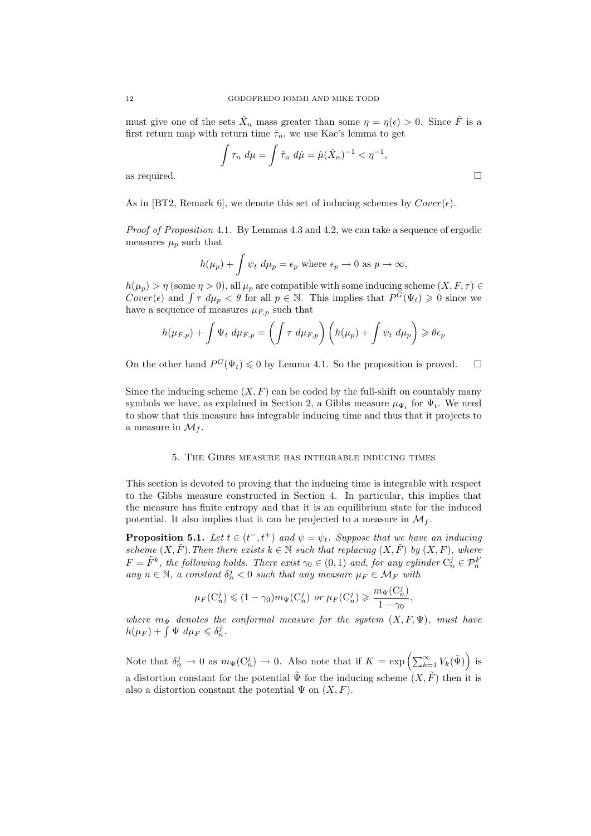must give one of the sets  $\hat{X}_n$  mass greater than some  $\eta = \eta(\epsilon) > 0$ . Since  $\hat{F}$  is a first return map with return time  $\hat{\tau}_n$ , we use Kac's lemma to get

$$
\int \tau_n \ d\mu = \int \hat{\tau}_n \ d\hat{\mu} = \hat{\mu} (\hat{X}_n)^{-1} < \eta^{-1},
$$
 as required.

As in [BT2, Remark 6], we denote this set of inducing schemes by  $Cover(\epsilon)$ .

Proof of Proposition 4.1. By Lemmas 4.3 and 4.2, we can take a sequence of ergodic measures  $\mu_p$  such that

$$
h(\mu_p) + \int \psi_t \ d\mu_p = \epsilon_p \text{ where } \epsilon_p \to 0 \text{ as } p \to \infty,
$$

 $h(\mu_p) > \eta$  (some  $\eta > 0$ ), all  $\mu_p$  are compatible with some inducing scheme  $(X, F, \tau) \in$ Cover( $\epsilon$ ) and  $\int \tau \ d\mu_p < \theta$  for all  $p \in \mathbb{N}$ . This implies that  $P^G(\Psi_t) \geq 0$  since we have a sequence of measures  $\mu_{F,p}$  such that

$$
h(\mu_{F,p}) + \int \Psi_t \ d\mu_{F,p} = \left(\int \tau \ d\mu_{F,p}\right) \left(h(\mu_p) + \int \psi_t \ d\mu_p\right) \geqslant \theta \epsilon_p
$$

On the other hand  $P^G(\Psi_t) \leq 0$  by Lemma 4.1. So the proposition is proved.  $\Box$ 

Since the inducing scheme  $(X, F)$  can be coded by the full-shift on countably many symbols we have, as explained in Section 2, a Gibbs measure  $\mu_{\Psi_t}$  for  $\Psi_t$ . We need to show that this measure has integrable inducing time and thus that it projects to a measure in  $\mathcal{M}_f$ .

#### 5. The Gibbs measure has integrable inducing times

This section is devoted to proving that the inducing time is integrable with respect to the Gibbs measure constructed in Section 4. In particular, this implies that the measure has finite entropy and that it is an equilibrium state for the induced potential. It also implies that it can be projected to a measure in  $\mathcal{M}_f$ .

**Proposition 5.1.** Let  $t \in (t^-, t^+)$  and  $\psi = \psi_t$ . Suppose that we have an inducing scheme  $(X, \tilde{F})$ . Then there exists  $k \in \mathbb{N}$  such that replacing  $(X, \tilde{F})$  by  $(X, F)$ , where  $F = \tilde{F}^k$ , the following holds. There exist  $\gamma_0 \in (0,1)$  and, for any cylinder  $C_n^j \in \mathcal{P}_n^F$ any  $n \in \mathbb{N}$ , a constant  $\delta_n^j < 0$  such that any measure  $\mu_F \in \mathcal{M}_F$  with

$$
\mu_F(C_n^j) \le (1 - \gamma_0) m_{\Psi}(C_n^j) \text{ or } \mu_F(C_n^j) \ge \frac{m_{\Psi}(C_n^j)}{1 - \gamma_0},
$$

where  $m_{\Psi}$  denotes the conformal measure for the system  $(X, F, \Psi)$ , must have  $h(\mu_F) + \int \Psi \ d\mu_F \leqslant \delta_n^j$ .

Note that  $\delta_n^j \to 0$  as  $m_\Psi(C_n^j) \to 0$ . Also note that if  $K = \exp\left(\sum_{k=1}^\infty V_k(\tilde{\Psi})\right)$  is a distortion constant for the potential  $\tilde{\Psi}$  for the inducing scheme  $(X, \tilde{F})$  then it is also a distortion constant the potential  $\Psi$  on  $(X, F)$ .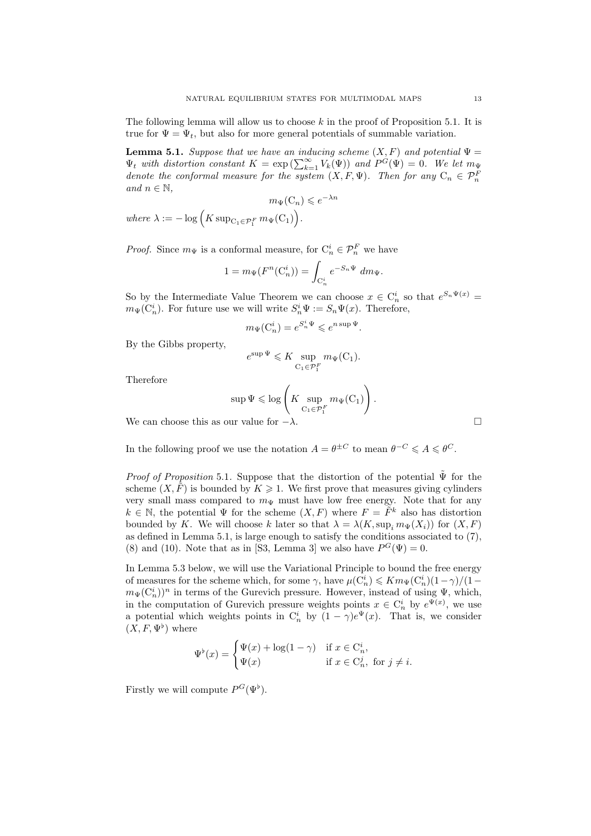The following lemma will allow us to choose  $k$  in the proof of Proposition 5.1. It is true for  $\Psi = \Psi_t$ , but also for more general potentials of summable variation.

**Lemma 5.1.** Suppose that we have an inducing scheme  $(X, F)$  and potential  $\Psi =$  $\Psi_t$  with distortion constant  $K = \exp\left(\sum_{k=1}^{\infty} V_k(\Psi)\right)$  and  $P^G(\Psi) = 0$ . We let  $m_{\Psi}$ denote the conformal measure for the system  $(X, F, \Psi)$ . Then for any  $C_n \in \mathcal{P}_n^F$ and  $n \in \mathbb{N}$ .

$$
m_{\Psi}(\mathcal{C}_n) \leqslant e^{-\lambda n}
$$

where  $\lambda := -\log \Big(K \operatorname{sup}_{C_1 \in \mathcal{P}_1^F} m_\Psi(C_1) \Big).$ 

*Proof.* Since  $m_{\Psi}$  is a conformal measure, for  $C_n^i \in \mathcal{P}_n^F$  we have

$$
1 = m_{\Psi}(F^n(\mathcal{C}_n^i)) = \int_{\mathcal{C}_n^i} e^{-S_n \Psi} dm_{\Psi}.
$$

So by the Intermediate Value Theorem we can choose  $x \in C_n^i$  so that  $e^{S_n \Psi(x)} =$  $m_{\Psi}(\mathcal{C}_n^i)$ . For future use we will write  $S_n^i \Psi := S_n \Psi(x)$ . Therefore,

$$
m_{\Psi}(\mathcal{C}_n^i) = e^{S_n^i \Psi} \leqslant e^{n \sup \Psi}.
$$

By the Gibbs property,

$$
e^{\sup \Psi} \leqslant K \sup_{C_1 \in \mathcal{P}_1^F} m_{\Psi}(C_1).
$$

Therefore

$$
\sup \Psi \leqslant \log \left(K \sup_{\mathcal{C}_1 \in \mathcal{P}_1^F} m_\Psi(\mathcal{C}_1) \right)
$$

.

We can choose this as our value for  $-\lambda$ .  $\Box$ 

In the following proof we use the notation  $A = \theta^{\pm C}$  to mean  $\theta^{-C} \leq A \leq \theta^{C}$ .

*Proof of Proposition* 5.1. Suppose that the distortion of the potential  $\tilde{\Psi}$  for the scheme  $(X, \tilde{F})$  is bounded by  $K \geq 1$ . We first prove that measures giving cylinders very small mass compared to  $m_{\Psi}$  must have low free energy. Note that for any  $k \in \mathbb{N}$ , the potential  $\Psi$  for the scheme  $(X, F)$  where  $F = \tilde{F}^k$  also has distortion bounded by K. We will choose k later so that  $\lambda = \lambda(K, \sup_i m_{\Psi}(X_i))$  for  $(X, F)$ as defined in Lemma 5.1, is large enough to satisfy the conditions associated to (7), (8) and (10). Note that as in [S3, Lemma 3] we also have  $P^G(\Psi) = 0$ .

In Lemma 5.3 below, we will use the Variational Principle to bound the free energy of measures for the scheme which, for some  $\gamma$ , have  $\mu(C_n^i) \leq K m_{\Psi}(C_n^i)(1-\gamma)/(1-\gamma)$  $m_{\Psi}(\mathrm{C}_n^i))^n$  in terms of the Gurevich pressure. However, instead of using  $\Psi$ , which, in the computation of Gurevich pressure weights points  $x \in C_n^i$  by  $e^{\Psi(x)}$ , we use a potential which weights points in  $C_n^i$  by  $(1 - \gamma)e^{\Psi}(x)$ . That is, we consider  $(X, F, \Psi^{\flat})$  where

$$
\Psi^{\flat}(x) = \begin{cases} \Psi(x) + \log(1 - \gamma) & \text{if } x \in \mathcal{C}_n^i, \\ \Psi(x) & \text{if } x \in \mathcal{C}_n^j, \text{ for } j \neq i. \end{cases}
$$

Firstly we will compute  $P^G(\Psi^{\flat})$ .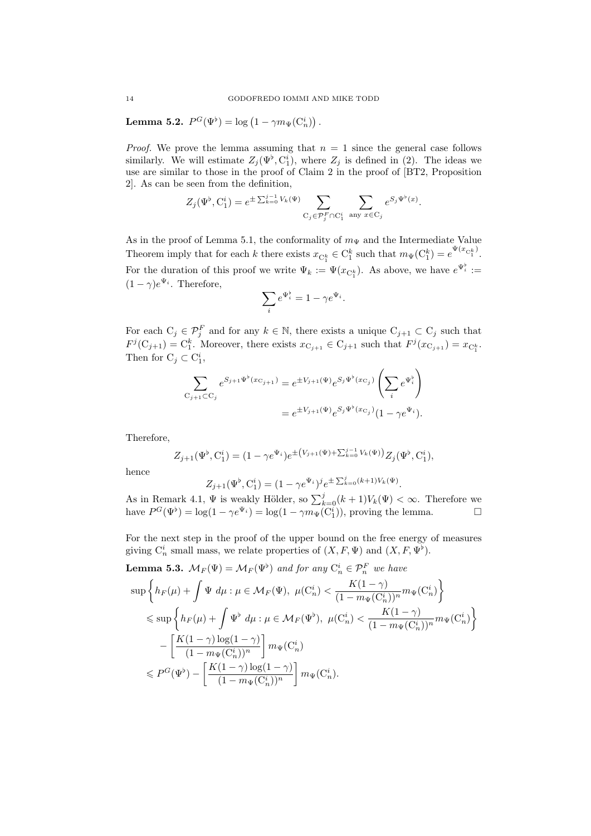Lemma 5.2.  $P^G(\Psi^{\flat}) = \log (1 - \gamma m_{\Psi}(\mathrm{C}_n^i))$ .

*Proof.* We prove the lemma assuming that  $n = 1$  since the general case follows similarly. We will estimate  $Z_j(\Psi^{\flat}, C_1^i)$ , where  $Z_j$  is defined in (2). The ideas we use are similar to those in the proof of Claim 2 in the proof of [BT2, Proposition 2]. As can be seen from the definition,

$$
Z_j(\Psi^\flat,\mathbf{C}_1^i)=e^{\pm\sum_{k=0}^{j-1}V_k(\Psi)}\sum_{\mathbf{C}_j\in\mathcal{P}_j^F\cap\mathbf{C}_1^i}\ \sum_{\text{any }x\in\mathbf{C}_j}e^{S_j\Psi^\flat(x)}.
$$

As in the proof of Lemma 5.1, the conformality of  $m_{\Psi}$  and the Intermediate Value Theorem imply that for each k there exists  $x_{C_1^k} \in C_1^k$  such that  $m_{\Psi}(C_1^k) = e^{\Psi(x_{C_1^k})}$ . For the duration of this proof we write  $\Psi_k := \Psi(x_{\mathcal{C}_1^k})$ . As above, we have  $e^{\Psi_i^{\flat}} :=$  $(1 - \gamma)e^{\Psi_i}$ . Therefore,

$$
\sum_{i} e^{\Psi_i^{\flat}} = 1 - \gamma e^{\Psi_i}.
$$

For each  $C_j \in \mathcal{P}_j^F$  and for any  $k \in \mathbb{N}$ , there exists a unique  $C_{j+1} \subset C_j$  such that  $F^j(C_{j+1})=C_1^k$ . Moreover, there exists  $x_{C_{j+1}} \in C_{j+1}$  such that  $F^j(x_{C_{j+1}}) = x_{C_1^k}$ . Then for  $C_j \subset C_1^i$ ,

$$
\sum_{C_{j+1} \subset C_j} e^{S_{j+1} \Psi^{\flat}(x_{C_{j+1}})} = e^{\pm V_{j+1}(\Psi)} e^{S_j \Psi^{\flat}(x_{C_j})} \left(\sum_i e^{\Psi_i^{\flat}}\right)
$$
  
= 
$$
e^{\pm V_{j+1}(\Psi)} e^{S_j \Psi^{\flat}(x_{C_j})} (1 - \gamma e^{\Psi_i}).
$$

Therefore,

$$
Z_{j+1}(\Psi^{\flat}, C_1^i) = (1 - \gamma e^{\Psi_i}) e^{\pm (V_{j+1}(\Psi) + \sum_{k=0}^{j-1} V_k(\Psi))} Z_j(\Psi^{\flat}, C_1^i),
$$

hence

$$
Z_{j+1}(\Psi^{\flat}, C_1^i) = (1 - \gamma e^{\Psi_i})^j e^{\pm \sum_{k=0}^j (k+1)V_k(\Psi)}.
$$

As in Remark 4.1,  $\Psi$  is weakly Hölder, so  $\sum_{k=0}^{j} (k+1) V_k(\Psi) < \infty$ . Therefore we have  $P^G(\Psi^{\flat}) = \log(1 - \gamma e^{\Psi_i}) = \log(1 - \gamma m_{\Psi}(C_1^i))$ , proving the lemma.

For the next step in the proof of the upper bound on the free energy of measures giving  $C_n^i$  small mass, we relate properties of  $(X, F, \Psi)$  and  $(X, F, \Psi^{\flat})$ .

**Lemma 5.3.** 
$$
\mathcal{M}_F(\Psi) = \mathcal{M}_F(\Psi^{\flat})
$$
 and for any  $C_n^i \in \mathcal{P}_n^F$  we have\n
$$
\sup \left\{ h_F(\mu) + \int \Psi \, d\mu : \mu \in \mathcal{M}_F(\Psi), \ \mu(C_n^i) < \frac{K(1-\gamma)}{(1-m_\Psi(C_n^i))^n} m_\Psi(C_n^i) \right\}
$$
\n
$$
\leqslant \sup \left\{ h_F(\mu) + \int \Psi^{\flat} \, d\mu : \mu \in \mathcal{M}_F(\Psi^{\flat}), \ \mu(C_n^i) < \frac{K(1-\gamma)}{(1-m_\Psi(C_n^i))^n} m_\Psi(C_n^i) \right\}
$$
\n
$$
- \left[ \frac{K(1-\gamma) \log(1-\gamma)}{(1-m_\Psi(C_n^i))^n} \right] m_\Psi(C_n^i)
$$
\n
$$
\leqslant P^G(\Psi^{\flat}) - \left[ \frac{K(1-\gamma) \log(1-\gamma)}{(1-m_\Psi(C_n^i))^n} \right] m_\Psi(C_n^i).
$$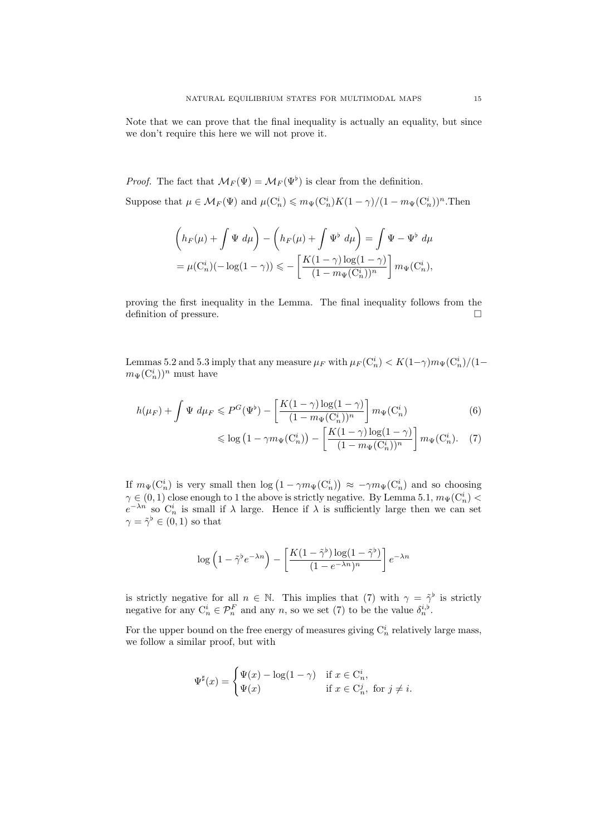Note that we can prove that the final inequality is actually an equality, but since we don't require this here we will not prove it.

*Proof.* The fact that  $\mathcal{M}_F(\Psi) = \mathcal{M}_F(\Psi)$  is clear from the definition.

Suppose that  $\mu \in M_F(\Psi)$  and  $\mu(C_n^i) \leq m_{\Psi}(C_n^i)K(1-\gamma)/(1-m_{\Psi}(C_n^i))^n$ . Then

$$
\begin{aligned} \left( h_F(\mu) + \int \Psi \ d\mu \right) - \left( h_F(\mu) + \int \Psi^\flat \ d\mu \right) & = \int \Psi - \Psi^\flat \ d\mu \\ & = \mu(\mathcal{C}^i_n)(-\log(1-\gamma)) \leqslant - \left[ \dfrac{K(1-\gamma)\log(1-\gamma)}{(1-m_\Psi(\mathcal{C}^i_n))^n} \right] m_\Psi(\mathcal{C}^i_n), \end{aligned}
$$

proving the first inequality in the Lemma. The final inequality follows from the definition of pressure.  $\Box$ 

Lemmas 5.2 and 5.3 imply that any measure  $\mu_F$  with  $\mu_F(C_n^i) < K(1-\gamma)m_\Psi(C_n^i)/(1-\gamma m_\Psi(C_n^i))$  $m_{\Psi}(\mathrm{C}_n^i))^n$  must have

$$
h(\mu_F) + \int \Psi \ d\mu_F \leqslant P^G(\Psi^\flat) - \left[ \frac{K(1-\gamma)\log(1-\gamma)}{(1-m_\Psi(C_n^i))^n} \right] m_\Psi(C_n^i)
$$
\n
$$
(6)
$$

$$
\leqslant \log\left(1-\gamma m_{\Psi}(C_n^i)\right)-\left[\frac{K(1-\gamma)\log(1-\gamma)}{(1-m_{\Psi}(C_n^i))^n}\right]m_{\Psi}(C_n^i). \quad (7)
$$

If  $m_{\Psi}(C_n^i)$  is very small then  $\log(1 - \gamma m_{\Psi}(C_n^i)) \approx -\gamma m_{\Psi}(C_n^i)$  and so choosing  $\gamma \in (0,1)$  close enough to 1 the above is strictly negative. By Lemma 5.1,  $m_{\Psi}(\mathcal{C}_n^i)$  $e^{-\lambda n}$  so  $C_n^i$  is small if  $\lambda$  large. Hence if  $\lambda$  is sufficiently large then we can set  $\gamma = \tilde{\gamma}^{\flat} \in (0, 1)$  so that

$$
\log\left(1 - \tilde{\gamma}^b e^{-\lambda n}\right) - \left[\frac{K(1 - \tilde{\gamma}^b) \log(1 - \tilde{\gamma}^b)}{(1 - e^{-\lambda n})^n}\right] e^{-\lambda n}
$$

is strictly negative for all  $n \in \mathbb{N}$ . This implies that (7) with  $\gamma = \tilde{\gamma}^{\flat}$  is strictly negative for any  $C_n^i \in \mathcal{P}_n^F$  and any n, so we set (7) to be the value  $\delta_n^{i,b}$ .

For the upper bound on the free energy of measures giving  $C_n^i$  relatively large mass, we follow a similar proof, but with

$$
\Psi^\sharp(x) = \begin{cases} \Psi(x) - \log(1-\gamma) & \text{if } x \in \mathcal{C}_n^i, \\ \Psi(x) & \text{if } x \in \mathcal{C}_n^j, \text{ for } j \neq i. \end{cases}
$$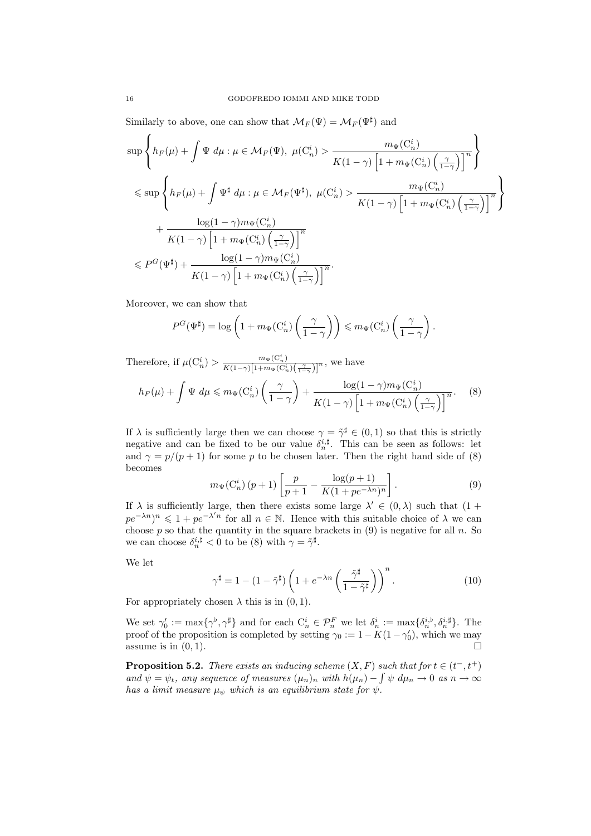Similarly to above, one can show that  $\mathcal{M}_F(\Psi) = \mathcal{M}_F(\Psi^{\sharp})$  and

$$
\begin{split} &\sup\left\{h_F(\mu)+\int\Psi~d\mu:\mu\in\mathcal{M}_F(\Psi),~\mu(\mathcal{C}_n^i)>\frac{m_\Psi(\mathcal{C}_n^i)}{K(1-\gamma)\left[1+m_\Psi(\mathcal{C}_n^i)\left(\frac{\gamma}{1-\gamma}\right)\right]^n}\right\}\\ &\leqslant \sup\left\{h_F(\mu)+\int\Psi^\sharp~d\mu:\mu\in\mathcal{M}_F(\Psi^\sharp),~\mu(\mathcal{C}_n^i)>\frac{m_\Psi(\mathcal{C}_n^i)}{K(1-\gamma)\left[1+m_\Psi(\mathcal{C}_n^i)\left(\frac{\gamma}{1-\gamma}\right)\right]^n}\right\}\\ &+\frac{\log(1-\gamma)m_\Psi(\mathcal{C}_n^i)}{K(1-\gamma)\left[1+m_\Psi(\mathcal{C}_n^i)\left(\frac{\gamma}{1-\gamma}\right)\right]^n}\\ &\leqslant P^G(\Psi^\sharp)+\frac{\log(1-\gamma)m_\Psi(\mathcal{C}_n^i)}{K(1-\gamma)\left[1+m_\Psi(\mathcal{C}_n^i)\left(\frac{\gamma}{1-\gamma}\right)\right]^n}. \end{split}
$$

Moreover, we can show that

$$
P^G(\Psi^{\sharp}) = \log\left(1 + m_{\Psi}(C_n^i) \left(\frac{\gamma}{1-\gamma}\right)\right) \leq m_{\Psi}(C_n^i) \left(\frac{\gamma}{1-\gamma}\right).
$$

Therefore, if  $\mu(C_n^i) > \frac{m_{\Psi}(C_n^i)}{K(1-\gamma)\left[1+m_{\Psi}(C_n^i)\left(\frac{\gamma}{1-\gamma}\right)\right]^n}$ , we have

$$
h_F(\mu) + \int \Psi \, d\mu \le m_{\Psi}(C_n^i) \left(\frac{\gamma}{1-\gamma}\right) + \frac{\log(1-\gamma)m_{\Psi}(C_n^i)}{K(1-\gamma)\left[1+m_{\Psi}(C_n^i)\left(\frac{\gamma}{1-\gamma}\right)\right]^n}.
$$
 (8)

If  $\lambda$  is sufficiently large then we can choose  $\gamma = \tilde{\gamma}^{\sharp} \in (0, 1)$  so that this is strictly negative and can be fixed to be our value  $\delta_n^{i, \sharp}$ . This can be seen as follows: let and  $\gamma = p/(p+1)$  for some p to be chosen later. Then the right hand side of (8) becomes

$$
m_{\Psi}(C_n^i)(p+1)\left[\frac{p}{p+1} - \frac{\log(p+1)}{K(1+pe^{-\lambda n})^n}\right].
$$
\n(9)

If  $\lambda$  is sufficiently large, then there exists some large  $\lambda' \in (0, \lambda)$  such that  $(1 +$  $pe^{-\lambda n}$ <sup>n</sup>  $\leq 1 + pe^{-\lambda' n}$  for all  $n \in \mathbb{N}$ . Hence with this suitable choice of  $\lambda$  we can choose  $p$  so that the quantity in the square brackets in  $(9)$  is negative for all  $n$ . So we can choose  $\delta_n^{i,\sharp} < 0$  to be (8) with  $\gamma = \tilde{\gamma}^{\sharp}$ .

We let

$$
\gamma^{\sharp} = 1 - (1 - \tilde{\gamma}^{\sharp}) \left( 1 + e^{-\lambda n} \left( \frac{\tilde{\gamma}^{\sharp}}{1 - \tilde{\gamma}^{\sharp}} \right) \right)^{n} . \tag{10}
$$

For appropriately chosen  $\lambda$  this is in  $(0, 1)$ .

We set  $\gamma'_0 := \max\{\gamma^{\flat}, \gamma^{\sharp}\}\$  and for each  $C_n^i \in \mathcal{P}_n^F$  we let  $\delta_n^i := \max\{\delta_n^{i,\flat}, \delta_n^{i,\sharp}\}\$ . The proof of the proposition is completed by setting  $\gamma_0 := 1 - K(1 - \gamma'_0)$ , which we may assume is in  $(0, 1)$ .

**Proposition 5.2.** There exists an inducing scheme  $(X, F)$  such that for  $t \in (t^-, t^+)$ and  $\psi = \psi_t$ , any sequence of measures  $(\mu_n)_n$  with  $h(\mu_n) - \int \psi \, d\mu_n \to 0$  as  $n \to \infty$ has a limit measure  $\mu_{\psi}$  which is an equilibrium state for  $\psi$ .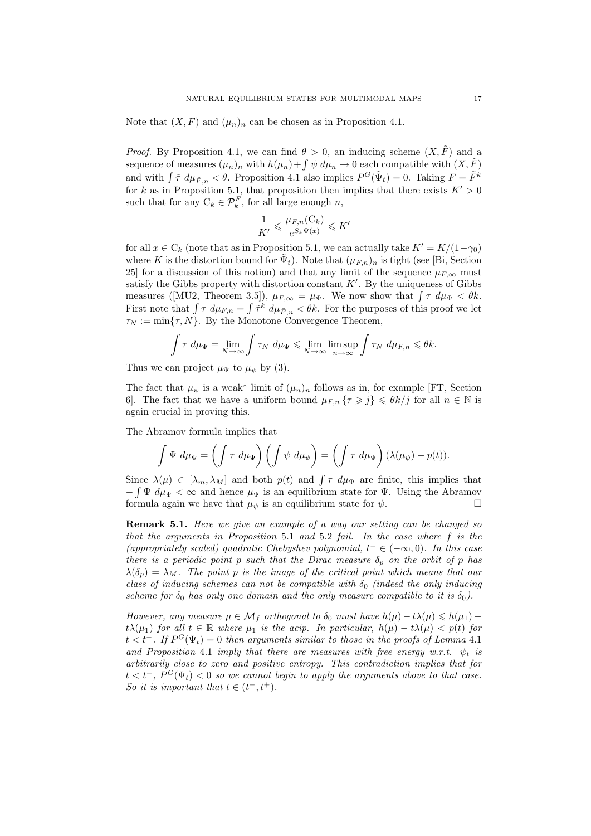Note that  $(X, F)$  and  $(\mu_n)_n$  can be chosen as in Proposition 4.1.

*Proof.* By Proposition 4.1, we can find  $\theta > 0$ , an inducing scheme  $(X, \tilde{F})$  and a sequence of measures  $(\mu_n)_n$  with  $h(\mu_n)+\int \psi \, d\mu_n \to 0$  each compatible with  $(X,\tilde{F})$ and with  $\int \tilde{\tau} d\mu_{\tilde{F},n} < \theta$ . Proposition 4.1 also implies  $P^G(\tilde{\Psi}_t) = 0$ . Taking  $F = \tilde{F}^k$ for k as in Proposition 5.1, that proposition then implies that there exists  $K' > 0$ such that for any  $C_k \in \mathcal{P}_k^F$ , for all large enough n,

$$
\frac{1}{K'} \leqslant \frac{\mu_{F,n}(C_k)}{e^{S_k \Psi(x)}} \leqslant K'
$$

for all  $x \in C_k$  (note that as in Proposition 5.1, we can actually take  $K' = K/(1-\gamma_0)$ ) where K is the distortion bound for  $\tilde{\Psi}_t$ ). Note that  $(\mu_{F,n})_n$  is tight (see [Bi, Section 25] for a discussion of this notion) and that any limit of the sequence  $\mu_{F,\infty}$  must satisfy the Gibbs property with distortion constant  $K'$ . By the uniqueness of Gibbs measures ([MU2, Theorem 3.5]),  $\mu_{F,\infty} = \mu_{\Psi}$ . We now show that  $\int \tau \, d\mu_{\Psi} < \theta k$ . First note that  $\int \tau \, d\mu_{F,n} = \int \tilde{\tau}^k \, d\mu_{\tilde{F},n} < \theta k$ . For the purposes of this proof we let  $\tau_N := \min\{\tau, N\}.$  By the Monotone Convergence Theorem,

$$
\int \tau \ d\mu_{\Psi} = \lim_{N \to \infty} \int \tau_N \ d\mu_{\Psi} \leq \lim_{N \to \infty} \limsup_{n \to \infty} \int \tau_N \ d\mu_{F,n} \leq \theta k.
$$

Thus we can project  $\mu_{\Psi}$  to  $\mu_{\psi}$  by (3).

The fact that  $\mu_{\psi}$  is a weak<sup>\*</sup> limit of  $(\mu_n)_n$  follows as in, for example [FT, Section 6. The fact that we have a uniform bound  $\mu_{F,n} \{ \tau \geq j \} \leq \theta k / j$  for all  $n \in \mathbb{N}$  is again crucial in proving this.

The Abramov formula implies that

$$
\int \Psi \, d\mu_{\Psi} = \left( \int \tau \, d\mu_{\Psi} \right) \left( \int \psi \, d\mu_{\psi} \right) = \left( \int \tau \, d\mu_{\Psi} \right) (\lambda(\mu_{\psi}) - p(t)).
$$

Since  $\lambda(\mu) \in [\lambda_m, \lambda_M]$  and both  $p(t)$  and  $\int \tau \ d\mu_{\Psi}$  are finite, this implies that  $-\int \Psi \, d\mu_{\Psi} < \infty$  and hence  $\mu_{\Psi}$  is an equilibrium state for  $\Psi$ . Using the Abramov formula again we have that  $\mu_{\psi}$  is an equilibrium state for  $\psi$ .

**Remark 5.1.** Here we give an example of a way our setting can be changed so that the arguments in Proposition 5.1 and 5.2 fail. In the case where  $f$  is the (appropriately scaled) quadratic Chebyshev polynomial,  $t^- \in (-\infty, 0)$ . In this case there is a periodic point p such that the Dirac measure  $\delta_p$  on the orbit of p has  $\lambda(\delta_p) = \lambda_M$ . The point p is the image of the critical point which means that our class of inducing schemes can not be compatible with  $\delta_0$  (indeed the only inducing scheme for  $\delta_0$  has only one domain and the only measure compatible to it is  $\delta_0$ ).

However, any measure  $\mu \in \mathcal{M}_f$  orthogonal to  $\delta_0$  must have  $h(\mu) - t\lambda(\mu) \leq h(\mu_1) - t$ t $\lambda(\mu_1)$  for all  $t \in \mathbb{R}$  where  $\mu_1$  is the acip. In particular,  $h(\mu) - t\lambda(\mu) < p(t)$  for  $t < t^-$ . If  $P^G(\Psi_t) = 0$  then arguments similar to those in the proofs of Lemma 4.1 and Proposition 4.1 imply that there are measures with free energy w.r.t.  $\psi_t$  is arbitrarily close to zero and positive entropy. This contradiction implies that for  $t < t^-, P^G(\Psi_t) < 0$  so we cannot begin to apply the arguments above to that case. So it is important that  $t \in (t^-, t^+).$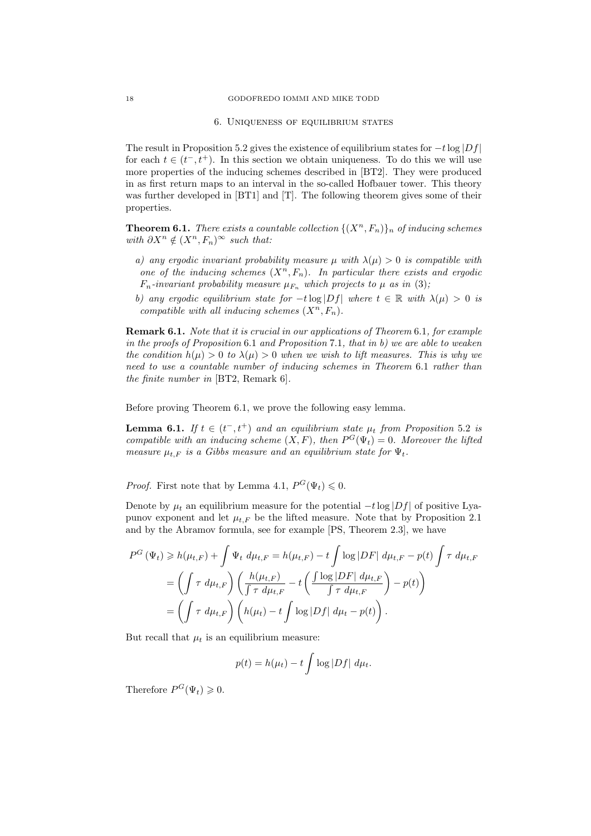#### 6. Uniqueness of equilibrium states

The result in Proposition 5.2 gives the existence of equilibrium states for  $-t \log |Df|$ for each  $t \in (t^-, t^+)$ . In this section we obtain uniqueness. To do this we will use more properties of the inducing schemes described in [BT2]. They were produced in as first return maps to an interval in the so-called Hofbauer tower. This theory was further developed in [BT1] and [T]. The following theorem gives some of their properties.

**Theorem 6.1.** There exists a countable collection  $\{(X^n, F_n)\}_n$  of inducing schemes with  $\partial X^n \notin (X^n, F_n)^\infty$  such that:

- a) any ergodic invariant probability measure  $\mu$  with  $\lambda(\mu) > 0$  is compatible with one of the inducing schemes  $(X^n, F_n)$ . In particular there exists and ergodic  $F_n$ -invariant probability measure  $\mu_{F_n}$  which projects to  $\mu$  as in (3);
- b) any ergodic equilibrium state for  $-t \log|Df|$  where  $t \in \mathbb{R}$  with  $\lambda(\mu) > 0$  is compatible with all inducing schemes  $(X^n, F_n)$ .

Remark 6.1. Note that it is crucial in our applications of Theorem 6.1, for example in the proofs of Proposition 6.1 and Proposition 7.1, that in b) we are able to weaken the condition  $h(\mu) > 0$  to  $\lambda(\mu) > 0$  when we wish to lift measures. This is why we need to use a countable number of inducing schemes in Theorem 6.1 rather than the finite number in [BT2, Remark 6].

Before proving Theorem 6.1, we prove the following easy lemma.

**Lemma 6.1.** If  $t \in (t^-, t^+)$  and an equilibrium state  $\mu_t$  from Proposition 5.2 is compatible with an inducing scheme  $(X, F)$ , then  $P^G(\Psi_t) = 0$ . Moreover the lifted measure  $\mu_{t,F}$  is a Gibbs measure and an equilibrium state for  $\Psi_t$ .

*Proof.* First note that by Lemma 4.1,  $P^G(\Psi_t) \leq 0$ .

Denote by  $\mu_t$  an equilibrium measure for the potential  $-t \log |Df|$  of positive Lyapunov exponent and let  $\mu_{t,F}$  be the lifted measure. Note that by Proposition 2.1 and by the Abramov formula, see for example [PS, Theorem 2.3], we have

$$
P^G(\Psi_t) \ge h(\mu_{t,F}) + \int \Psi_t d\mu_{t,F} = h(\mu_{t,F}) - t \int \log |DF| d\mu_{t,F} - p(t) \int \tau d\mu_{t,F}
$$
  
= 
$$
\left( \int \tau d\mu_{t,F} \right) \left( \frac{h(\mu_{t,F})}{\int \tau d\mu_{t,F}} - t \left( \frac{\int \log |DF| d\mu_{t,F}}{\int \tau d\mu_{t,F}} \right) - p(t) \right)
$$
  
= 
$$
\left( \int \tau d\mu_{t,F} \right) \left( h(\mu_t) - t \int \log |Df| d\mu_t - p(t) \right).
$$

But recall that  $\mu_t$  is an equilibrium measure:

$$
p(t) = h(\mu_t) - t \int \log |Df| \ d\mu_t.
$$

Therefore  $P^G(\Psi_t) \geqslant 0$ .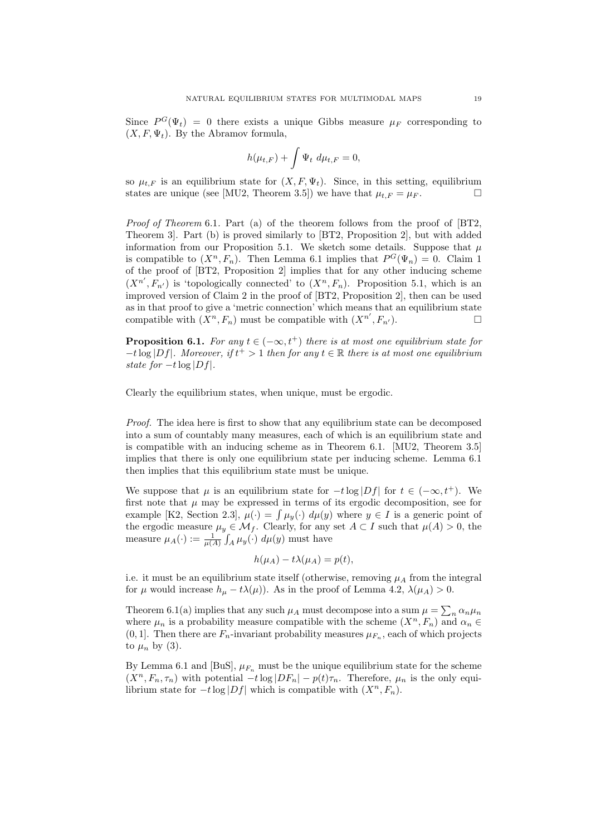Since  $P^G(\Psi_t) = 0$  there exists a unique Gibbs measure  $\mu_F$  corresponding to  $(X, F, \Psi_t)$ . By the Abramov formula,

$$
h(\mu_{t,F}) + \int \Psi_t \ d\mu_{t,F} = 0,
$$

so  $\mu_{t,F}$  is an equilibrium state for  $(X, F, \Psi_t)$ . Since, in this setting, equilibrium states are unique (see [MU2, Theorem 3.5]) we have that  $\mu_{t,F} = \mu_F$ .

Proof of Theorem 6.1. Part (a) of the theorem follows from the proof of [BT2, Theorem 3]. Part (b) is proved similarly to [BT2, Proposition 2], but with added information from our Proposition 5.1. We sketch some details. Suppose that  $\mu$ is compatible to  $(X^n, F_n)$ . Then Lemma 6.1 implies that  $P^G(\Psi_n) = 0$ . Claim 1 of the proof of [BT2, Proposition 2] implies that for any other inducing scheme  $(X^{n'}, F_{n'})$  is 'topologically connected' to  $(X^n, F_n)$ . Proposition 5.1, which is an improved version of Claim 2 in the proof of [BT2, Proposition 2], then can be used as in that proof to give a 'metric connection' which means that an equilibrium state compatible with  $(X^n, F_n)$  must be compatible with  $(X^{n'}, F_{n'})$ .

**Proposition 6.1.** For any  $t \in (-\infty, t^+)$  there is at most one equilibrium state for  $-t \log|Df|$ . Moreover, if  $t^+ > 1$  then for any  $t \in \mathbb{R}$  there is at most one equilibrium state for  $-t \log |Df|$ .

Clearly the equilibrium states, when unique, must be ergodic.

Proof. The idea here is first to show that any equilibrium state can be decomposed into a sum of countably many measures, each of which is an equilibrium state and is compatible with an inducing scheme as in Theorem 6.1. [MU2, Theorem 3.5] implies that there is only one equilibrium state per inducing scheme. Lemma 6.1 then implies that this equilibrium state must be unique.

We suppose that  $\mu$  is an equilibrium state for  $-t \log |Df|$  for  $t \in (-\infty, t^+)$ . We first note that  $\mu$  may be expressed in terms of its ergodic decomposition, see for example [K2, Section 2.3],  $\mu(\cdot) = \int \mu_y(\cdot) d\mu(y)$  where  $y \in I$  is a generic point of the ergodic measure  $\mu_y \in \mathcal{M}_f$ . Clearly, for any set  $A \subset I$  such that  $\mu(A) > 0$ , the measure  $\mu_A(\cdot) := \frac{1}{\mu(A)} \int_A \mu_y(\cdot) d\mu(y)$  must have

$$
h(\mu_A) - t\lambda(\mu_A) = p(t),
$$

i.e. it must be an equilibrium state itself (otherwise, removing  $\mu_A$  from the integral for  $\mu$  would increase  $h_{\mu} - t\lambda(\mu)$ . As in the proof of Lemma 4.2,  $\lambda(\mu_A) > 0$ .

Theorem 6.1(a) implies that any such  $\mu_A$  must decompose into a sum  $\mu = \sum_n \alpha_n \mu_n$ where  $\mu_n$  is a probability measure compatible with the scheme  $(X^n, F_n)$  and  $\alpha_n \in$  $(0, 1]$ . Then there are  $F_n$ -invariant probability measures  $\mu_{F_n}$ , each of which projects to  $\mu_n$  by (3).

By Lemma 6.1 and [BuS],  $\mu_{F_n}$  must be the unique equilibrium state for the scheme  $(X<sup>n</sup>, F<sub>n</sub>, \tau<sub>n</sub>)$  with potential  $-t \log |DF<sub>n</sub>| - p(t)\tau<sub>n</sub>$ . Therefore,  $\mu<sub>n</sub>$  is the only equilibrium state for  $-t \log |Df|$  which is compatible with  $(X^n, F_n)$ .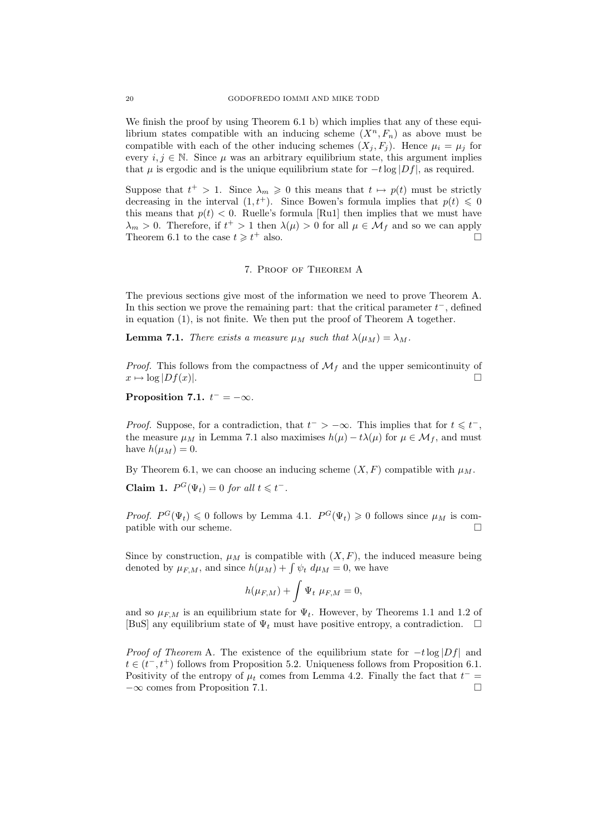We finish the proof by using Theorem 6.1 b) which implies that any of these equilibrium states compatible with an inducing scheme  $(X^n, F_n)$  as above must be compatible with each of the other inducing schemes  $(X_i, F_i)$ . Hence  $\mu_i = \mu_j$  for every  $i, j \in \mathbb{N}$ . Since  $\mu$  was an arbitrary equilibrium state, this argument implies that  $\mu$  is ergodic and is the unique equilibrium state for  $-t \log |Df|$ , as required.

Suppose that  $t^+ > 1$ . Since  $\lambda_m \geq 0$  this means that  $t \mapsto p(t)$  must be strictly decreasing in the interval  $(1, t^+)$ . Since Bowen's formula implies that  $p(t) \leq 0$ this means that  $p(t) < 0$ . Ruelle's formula [Ru1] then implies that we must have  $\lambda_m > 0$ . Therefore, if  $t^+ > 1$  then  $\lambda(\mu) > 0$  for all  $\mu \in \mathcal{M}_f$  and so we can apply Theorem 6.1 to the case  $t \geq t^+$  also.

#### 7. Proof of Theorem A

The previous sections give most of the information we need to prove Theorem A. In this section we prove the remaining part: that the critical parameter  $t^-$ , defined in equation (1), is not finite. We then put the proof of Theorem A together.

**Lemma 7.1.** There exists a measure  $\mu_M$  such that  $\lambda(\mu_M) = \lambda_M$ .

*Proof.* This follows from the compactness of  $\mathcal{M}_f$  and the upper semicontinuity of  $x \mapsto \log |Df(x)|$ .  $x \mapsto \log |Df(x)|$ .

Proposition 7.1.  $t^- = -\infty$ .

*Proof.* Suppose, for a contradiction, that  $t^- > -\infty$ . This implies that for  $t \leq t^-$ , the measure  $\mu_M$  in Lemma 7.1 also maximises  $h(\mu) - t\lambda(\mu)$  for  $\mu \in \mathcal{M}_f$ , and must have  $h(\mu_M) = 0$ .

By Theorem 6.1, we can choose an inducing scheme  $(X, F)$  compatible with  $\mu_M$ .

Claim 1.  $P^G(\Psi_t) = 0$  for all  $t \leq t^-$ .

*Proof.*  $P^G(\Psi_t) \leq 0$  follows by Lemma 4.1.  $P^G(\Psi_t) \geq 0$  follows since  $\mu_M$  is compatible with our scheme.  $\Box$ 

Since by construction,  $\mu_M$  is compatible with  $(X, F)$ , the induced measure being denoted by  $\mu_{F,M}$ , and since  $h(\mu_M) + \int \psi_t \ d\mu_M = 0$ , we have

$$
h(\mu_{F,M}) + \int \Psi_t \ \mu_{F,M} = 0,
$$

and so  $\mu_{F,M}$  is an equilibrium state for  $\Psi_t$ . However, by Theorems 1.1 and 1.2 of [BuS] any equilibrium state of  $\Psi_t$  must have positive entropy, a contradiction.  $\Box$ 

*Proof of Theorem A.* The existence of the equilibrium state for  $-t \log |Df|$  and  $t \in (t^-, t^+)$  follows from Proposition 5.2. Uniqueness follows from Proposition 6.1. Positivity of the entropy of  $\mu_t$  comes from Lemma 4.2. Finally the fact that  $t^ -\infty$  comes from Proposition 7.1.  $\Box$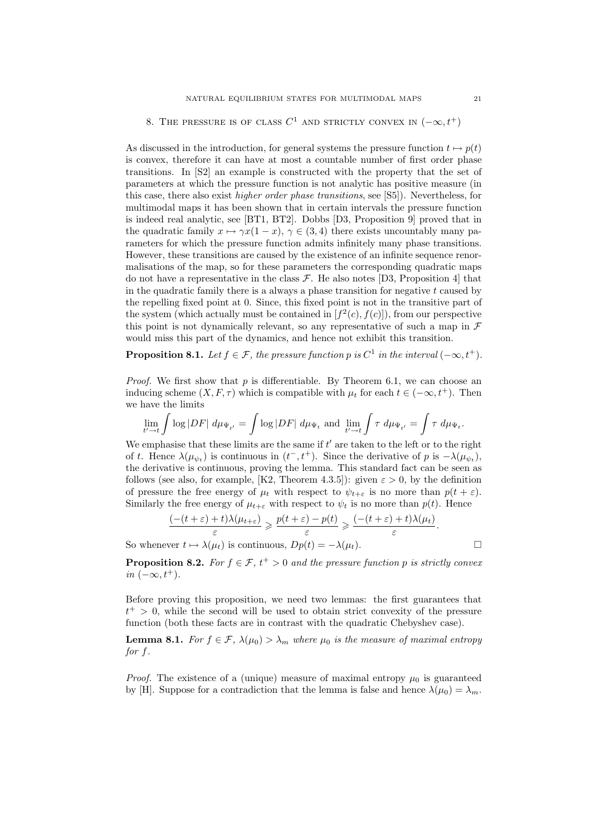# 8. THE PRESSURE IS OF CLASS  $C^1$  AND STRICTLY CONVEX IN  $(-\infty, t^+)$

As discussed in the introduction, for general systems the pressure function  $t \mapsto p(t)$ is convex, therefore it can have at most a countable number of first order phase transitions. In [S2] an example is constructed with the property that the set of parameters at which the pressure function is not analytic has positive measure (in this case, there also exist higher order phase transitions, see [S5]). Nevertheless, for multimodal maps it has been shown that in certain intervals the pressure function is indeed real analytic, see [BT1, BT2]. Dobbs [D3, Proposition 9] proved that in the quadratic family  $x \mapsto \gamma x(1-x)$ ,  $\gamma \in (3,4)$  there exists uncountably many parameters for which the pressure function admits infinitely many phase transitions. However, these transitions are caused by the existence of an infinite sequence renormalisations of the map, so for these parameters the corresponding quadratic maps do not have a representative in the class  $\mathcal{F}$ . He also notes [D3, Proposition 4] that in the quadratic family there is a always a phase transition for negative  $t$  caused by the repelling fixed point at 0. Since, this fixed point is not in the transitive part of the system (which actually must be contained in  $[f^2(c), f(c)]$ ), from our perspective this point is not dynamically relevant, so any representative of such a map in  $\mathcal F$ would miss this part of the dynamics, and hence not exhibit this transition.

**Proposition 8.1.** Let  $f \in \mathcal{F}$ , the pressure function p is  $C^1$  in the interval  $(-\infty, t^+)$ .

*Proof.* We first show that  $p$  is differentiable. By Theorem 6.1, we can choose an inducing scheme  $(X, F, \tau)$  which is compatible with  $\mu_t$  for each  $t \in (-\infty, t^+)$ . Then we have the limits

$$
\lim_{t'\to t}\int \log |DF| \ d\mu_{\Psi_{t'}} = \int \log |DF| \ d\mu_{\Psi_t} \text{ and } \lim_{t'\to t}\int \tau \ d\mu_{\Psi_{t'}} = \int \tau \ d\mu_{\Psi_t}.
$$

We emphasise that these limits are the same if  $t'$  are taken to the left or to the right of t. Hence  $\lambda(\mu_{\psi_t})$  is continuous in  $(t^-, t^+)$ . Since the derivative of p is  $-\lambda(\mu_{\psi_t})$ , the derivative is continuous, proving the lemma. This standard fact can be seen as follows (see also, for example, [K2, Theorem 4.3.5]): given  $\varepsilon > 0$ , by the definition of pressure the free energy of  $\mu_t$  with respect to  $\psi_{t+\varepsilon}$  is no more than  $p(t+\varepsilon)$ . Similarly the free energy of  $\mu_{t+\varepsilon}$  with respect to  $\psi_t$  is no more than  $p(t)$ . Hence

$$
\frac{(-(t+\varepsilon)+t)\lambda(\mu_{t+\varepsilon})}{\varepsilon} \geq \frac{p(t+\varepsilon)-p(t)}{\varepsilon} \geq \frac{(-(t+\varepsilon)+t)\lambda(\mu_t)}{\varepsilon}.
$$
  
So whenever  $t \mapsto \lambda(\mu_t)$  is continuous,  $Dp(t) = -\lambda(\mu_t)$ .

**Proposition 8.2.** For  $f \in \mathcal{F}$ ,  $t^+ > 0$  and the pressure function p is strictly convex in  $(-\infty, t^+).$ 

Before proving this proposition, we need two lemmas: the first guarantees that  $t^+ > 0$ , while the second will be used to obtain strict convexity of the pressure function (both these facts are in contrast with the quadratic Chebyshev case).

**Lemma 8.1.** For  $f \in \mathcal{F}$ ,  $\lambda(\mu_0) > \lambda_m$  where  $\mu_0$  is the measure of maximal entropy for f.

*Proof.* The existence of a (unique) measure of maximal entropy  $\mu_0$  is guaranteed by [H]. Suppose for a contradiction that the lemma is false and hence  $\lambda(\mu_0) = \lambda_m$ .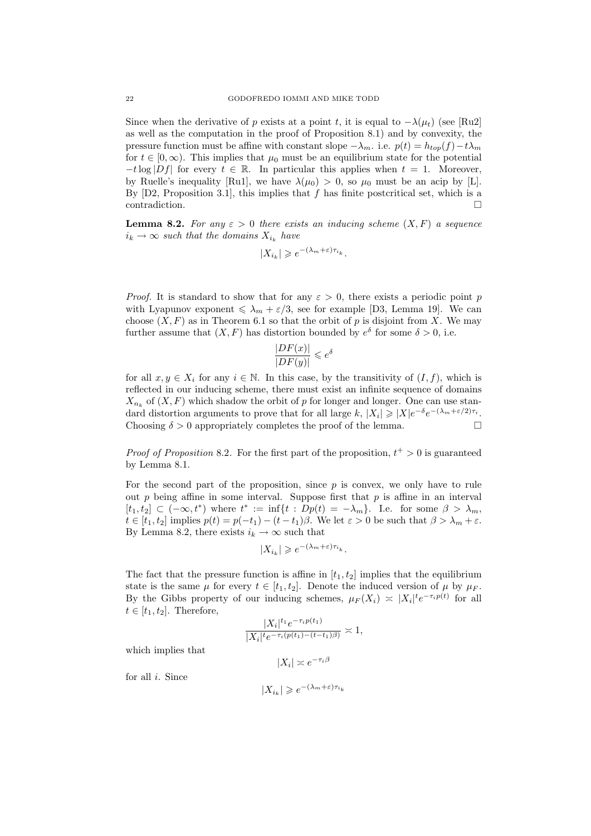Since when the derivative of p exists at a point t, it is equal to  $-\lambda(\mu_t)$  (see [Ru2] as well as the computation in the proof of Proposition 8.1) and by convexity, the pressure function must be affine with constant slope  $-\lambda_m$ . i.e.  $p(t) = h_{top}(f) - t\lambda_m$ for  $t \in [0, \infty)$ . This implies that  $\mu_0$  must be an equilibrium state for the potential  $-t \log |Df|$  for every  $t \in \mathbb{R}$ . In particular this applies when  $t = 1$ . Moreover, by Ruelle's inequality [Ru1], we have  $\lambda(\mu_0) > 0$ , so  $\mu_0$  must be an acip by [L]. By  $[D2,$  Proposition 3.1, this implies that f has finite postcritical set, which is a  $\Box$   $\Box$ 

**Lemma 8.2.** For any  $\varepsilon > 0$  there exists an inducing scheme  $(X, F)$  a sequence  $i_k \rightarrow \infty$  such that the domains  $X_{i_k}$  have

$$
|X_{i_k}| \geqslant e^{-(\lambda_m + \varepsilon)\tau_{i_k}}.
$$

*Proof.* It is standard to show that for any  $\varepsilon > 0$ , there exists a periodic point p with Lyapunov exponent  $\leq \lambda_m + \varepsilon/3$ , see for example [D3, Lemma 19]. We can choose  $(X, F)$  as in Theorem 6.1 so that the orbit of p is disjoint from X. We may further assume that  $(X, F)$  has distortion bounded by  $e^{\delta}$  for some  $\delta > 0$ , i.e.

$$
\frac{|DF(x)|}{|DF(y)|} \leq e^{\delta}
$$

for all  $x, y \in X_i$  for any  $i \in \mathbb{N}$ . In this case, by the transitivity of  $(I, f)$ , which is reflected in our inducing scheme, there must exist an infinite sequence of domains  $X_{n_k}$  of  $(X, F)$  which shadow the orbit of p for longer and longer. One can use standard distortion arguments to prove that for all large k,  $|X_i| \ge |X|e^{-\delta}e^{-(\lambda_m+\epsilon/2)\tau_i}$ .<br>Choosing  $\delta > 0$  appropriately completes the proof of the lemma Choosing  $\delta > 0$  appropriately completes the proof of the lemma.

*Proof of Proposition* 8.2. For the first part of the proposition,  $t^+ > 0$  is guaranteed by Lemma 8.1.

For the second part of the proposition, since  $p$  is convex, we only have to rule out  $p$  being affine in some interval. Suppose first that  $p$  is affine in an interval  $[t_1, t_2] \subset (-\infty, t^*)$  where  $t^* := \inf\{t : Dp(t) = -\lambda_m\}$ . I.e. for some  $\beta > \lambda_m$ ,  $t \in [t_1, t_2]$  implies  $p(t) = p(-t_1) - (t - t_1)\beta$ . We let  $\varepsilon > 0$  be such that  $\beta > \lambda_m + \varepsilon$ . By Lemma 8.2, there exists  $i_k \to \infty$  such that

$$
|X_{i_k}| \geqslant e^{-(\lambda_m + \varepsilon)\tau_{i_k}}.
$$

The fact that the pressure function is affine in  $[t_1, t_2]$  implies that the equilibrium state is the same  $\mu$  for every  $t \in [t_1, t_2]$ . Denote the induced version of  $\mu$  by  $\mu_F$ . By the Gibbs property of our inducing schemes,  $\mu_F(X_i) \approx |X_i|^t e^{-\tau_i p(t)}$  for all  $t \in [t_1, t_2]$ . Therefore,

$$
\frac{|X_i|^{t_1}e^{-\tau_i p(t_1)}}{|X_i|^t e^{-\tau_i (p(t_1)-(t-t_1)\beta)}} \approx 1,
$$
  

$$
|X_i| \approx e^{-\tau_i \beta}
$$

which implies that

$$
\begin{array}{c}\n1 & \text{if } x \neq 0 \\
1 & \text{if } x = 0\n\end{array}
$$

for all  $i$ . Since

 $|X_{i_k}| \geqslant e^{-(\lambda_m+\varepsilon)\tau_{i_k}}$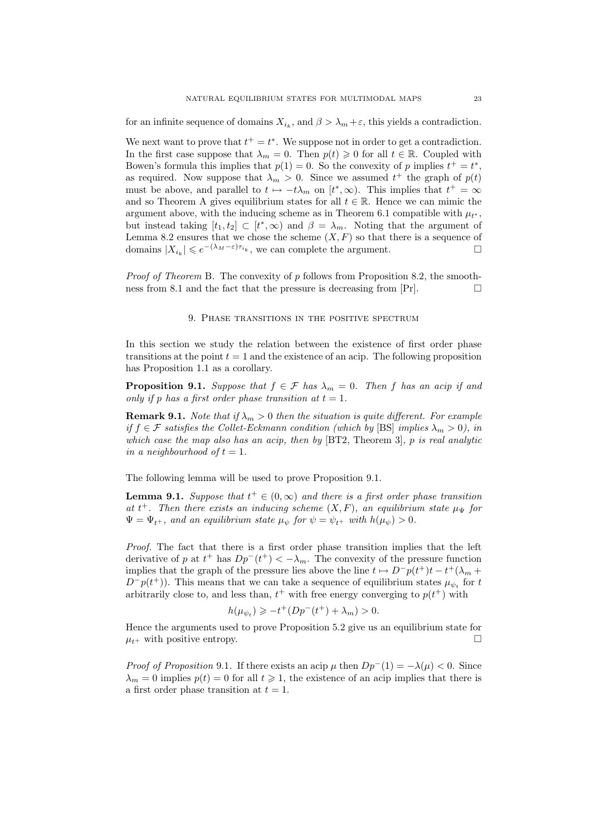for an infinite sequence of domains  $X_{i_k}$ , and  $\beta > \lambda_m + \varepsilon$ , this yields a contradiction.

We next want to prove that  $t^+ = t^*$ . We suppose not in order to get a contradiction. In the first case suppose that  $\lambda_m = 0$ . Then  $p(t) \geq 0$  for all  $t \in \mathbb{R}$ . Coupled with Bowen's formula this implies that  $p(1) = 0$ . So the convexity of p implies  $t^+ = t^*$ , as required. Now suppose that  $\lambda_m > 0$ . Since we assumed  $t^+$  the graph of  $p(t)$ must be above, and parallel to  $t \mapsto -t\lambda_m$  on  $[t^*,\infty)$ . This implies that  $t^+ = \infty$ and so Theorem A gives equilibrium states for all  $t \in \mathbb{R}$ . Hence we can mimic the argument above, with the inducing scheme as in Theorem 6.1 compatible with  $\mu_{t^*}$ , but instead taking  $[t_1, t_2] \subset [t^*, \infty)$  and  $\beta = \lambda_m$ . Noting that the argument of Lemma 8.2 ensures that we chose the scheme  $(X, F)$  so that there is a sequence of domains  $|X_{i_k}| \leqslant e^{-(\lambda_M - \varepsilon)\tau_{i_k}}$ , we can complete the argument.  $\Box$ 

Proof of Theorem B. The convexity of p follows from Proposition 8.2, the smoothness from 8.1 and the fact that the pressure is decreasing from  $\Pr$ .

### 9. Phase transitions in the positive spectrum

In this section we study the relation between the existence of first order phase transitions at the point  $t = 1$  and the existence of an acip. The following proposition has Proposition 1.1 as a corollary.

**Proposition 9.1.** Suppose that  $f \in \mathcal{F}$  has  $\lambda_m = 0$ . Then f has an acip if and only if p has a first order phase transition at  $t = 1$ .

**Remark 9.1.** Note that if  $\lambda_m > 0$  then the situation is quite different. For example if  $f \in \mathcal{F}$  satisfies the Collet-Eckmann condition (which by [BS] implies  $\lambda_m > 0$ ), in which case the map also has an acip, then by [BT2, Theorem 3], p is real analytic in a neighbourhood of  $t = 1$ .

The following lemma will be used to prove Proposition 9.1.

**Lemma 9.1.** Suppose that  $t^+ \in (0, \infty)$  and there is a first order phase transition at  $t^+$ . Then there exists an inducing scheme  $(X, F)$ , an equilibrium state  $\mu_{\Psi}$  for  $\Psi = \Psi_{t+}$ , and an equilibrium state  $\mu_{\psi}$  for  $\psi = \psi_{t+}$  with  $h(\mu_{\psi}) > 0$ .

Proof. The fact that there is a first order phase transition implies that the left derivative of p at  $t^+$  has  $Dp^-(t^+) < -\lambda_m$ . The convexity of the pressure function implies that the graph of the pressure lies above the line  $t \mapsto D^-p(t^+)t - t^+(\lambda_m +$  $D^-p(t^+)$ ). This means that we can take a sequence of equilibrium states  $\mu_{\psi_t}$  for t arbitrarily close to, and less than,  $t^+$  with free energy converging to  $p(t^+)$  with

$$
h(\mu_{\psi_t}) \geq -t^+(Dp^-(t^+) + \lambda_m) > 0.
$$

Hence the arguments used to prove Proposition 5.2 give us an equilibrium state for  $\mu_{t+}$  with positive entropy.

*Proof of Proposition* 9.1. If there exists an acip  $\mu$  then  $Dp^{-}(1) = -\lambda(\mu) < 0$ . Since  $\lambda_m = 0$  implies  $p(t) = 0$  for all  $t \ge 1$ , the existence of an acip implies that there is a first order phase transition at  $t = 1$ .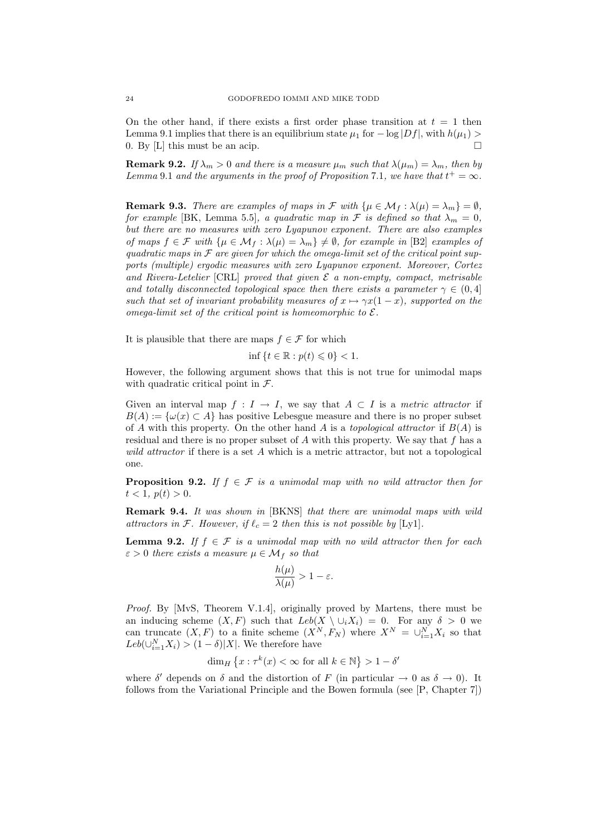On the other hand, if there exists a first order phase transition at  $t = 1$  then Lemma 9.1 implies that there is an equilibrium state  $\mu_1$  for  $-\log|Df|$ , with  $h(\mu_1)$  $0.$  By  $[L]$  this must be an acip.

**Remark 9.2.** If  $\lambda_m > 0$  and there is a measure  $\mu_m$  such that  $\lambda(\mu_m) = \lambda_m$ , then by Lemma 9.1 and the arguments in the proof of Proposition 7.1, we have that  $t^+ = \infty$ .

**Remark 9.3.** There are examples of maps in  $\mathcal{F}$  with  $\{\mu \in \mathcal{M}_f : \lambda(\mu) = \lambda_m\} = \emptyset$ , for example [BK, Lemma 5.5], a quadratic map in  $\mathcal F$  is defined so that  $\lambda_m = 0$ , but there are no measures with zero Lyapunov exponent. There are also examples of maps  $f \in \mathcal{F}$  with  $\{\mu \in \mathcal{M}_f : \lambda(\mu) = \lambda_m\} \neq \emptyset$ , for example in [B2] examples of quadratic maps in  $\mathcal F$  are given for which the omega-limit set of the critical point supports (multiple) ergodic measures with zero Lyapunov exponent. Moreover, Cortez and Rivera-Letelier [CRL] proved that given  $\mathcal E$  a non-empty, compact, metrisable and totally disconnected topological space then there exists a parameter  $\gamma \in (0, 4]$ such that set of invariant probability measures of  $x \mapsto \gamma x(1-x)$ , supported on the omega-limit set of the critical point is homeomorphic to  $\mathcal{E}$ .

It is plausible that there are maps  $f \in \mathcal{F}$  for which

$$
\inf\left\{t\in\mathbb{R}:p(t)\leqslant 0\right\}<1.
$$

However, the following argument shows that this is not true for unimodal maps with quadratic critical point in  $\mathcal{F}.$ 

Given an interval map  $f: I \to I$ , we say that  $A \subset I$  is a metric attractor if  $B(A) := \{\omega(x) \subset A\}$  has positive Lebesgue measure and there is no proper subset of A with this property. On the other hand A is a topological attractor if  $B(A)$  is residual and there is no proper subset of  $A$  with this property. We say that  $f$  has a wild attractor if there is a set A which is a metric attractor, but not a topological one.

**Proposition 9.2.** If  $f \in \mathcal{F}$  is a unimodal map with no wild attractor then for  $t < 1, p(t) > 0.$ 

**Remark 9.4.** It was shown in [BKNS] that there are unimodal maps with wild attractors in F. However, if  $\ell_c = 2$  then this is not possible by [Ly1].

**Lemma 9.2.** If  $f \in \mathcal{F}$  is a unimodal map with no wild attractor then for each  $\varepsilon > 0$  there exists a measure  $\mu \in \mathcal{M}_f$  so that

$$
\frac{h(\mu)}{\lambda(\mu)} > 1 - \varepsilon.
$$

Proof. By [MvS, Theorem V.1.4], originally proved by Martens, there must be an inducing scheme  $(X, F)$  such that  $Leb(X \setminus \cup_i X_i) = 0$ . For any  $\delta > 0$  we can truncate  $(X, F)$  to a finite scheme  $(X^N, F_N)$  where  $X^N = \bigcup_{i=1}^N X_i$  so that  $Leb(\bigcup_{i=1}^{N} X_i) > (1 - \delta)|X|$ . We therefore have

$$
\dim_H \left\{ x: \tau^k(x) < \infty \text{ for all } k \in \mathbb{N} \right\} > 1-\delta'
$$

where  $\delta'$  depends on  $\delta$  and the distortion of F (in particular  $\rightarrow$  0 as  $\delta \rightarrow$  0). It follows from the Variational Principle and the Bowen formula (see [P, Chapter 7])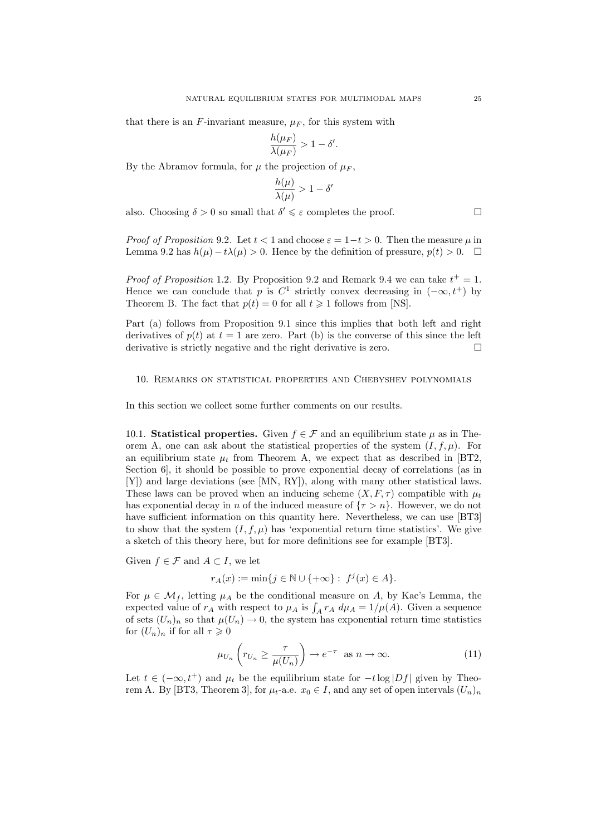that there is an F-invariant measure,  $\mu_F$ , for this system with

$$
\frac{h(\mu_F)}{\lambda(\mu_F)} > 1 - \delta'.
$$

By the Abramov formula, for  $\mu$  the projection of  $\mu_F$ ,

$$
\frac{h(\mu)}{\lambda(\mu)} > 1 - \delta'
$$

also. Choosing  $\delta > 0$  so small that  $\delta' \leq \varepsilon$  completes the proof.

*Proof of Proposition* 9.2. Let  $t < 1$  and choose  $\varepsilon = 1-t > 0$ . Then the measure u in Lemma 9.2 has  $h(\mu) - t\lambda(\mu) > 0$ . Hence by the definition of pressure,  $p(t) > 0$ .  $\Box$ 

*Proof of Proposition* 1.2. By Proposition 9.2 and Remark 9.4 we can take  $t^+ = 1$ . Hence we can conclude that p is  $C^1$  strictly convex decreasing in  $(-\infty, t^+)$  by Theorem B. The fact that  $p(t) = 0$  for all  $t \ge 1$  follows from [NS].

Part (a) follows from Proposition 9.1 since this implies that both left and right derivatives of  $p(t)$  at  $t = 1$  are zero. Part (b) is the converse of this since the left derivative is strictly negative and the right derivative is zero.  $\Box$ 

#### 10. Remarks on statistical properties and Chebyshev polynomials

In this section we collect some further comments on our results.

10.1. **Statistical properties.** Given  $f \in \mathcal{F}$  and an equilibrium state  $\mu$  as in Theorem A, one can ask about the statistical properties of the system  $(I, f, \mu)$ . For an equilibrium state  $\mu_t$  from Theorem A, we expect that as described in [BT2, Section 6], it should be possible to prove exponential decay of correlations (as in [Y]) and large deviations (see [MN, RY]), along with many other statistical laws. These laws can be proved when an inducing scheme  $(X, F, \tau)$  compatible with  $\mu_t$ has exponential decay in n of the induced measure of  ${\tau > n}$ . However, we do not have sufficient information on this quantity here. Nevertheless, we can use [BT3] to show that the system  $(I, f, \mu)$  has 'exponential return time statistics'. We give a sketch of this theory here, but for more definitions see for example [BT3].

Given  $f \in \mathcal{F}$  and  $A \subset I$ , we let

$$
r_A(x):=\min\{j\in\mathbb{N}\cup\{+\infty\}:\;f^j(x)\in A\}.
$$

For  $\mu \in \mathcal{M}_f$ , letting  $\mu_A$  be the conditional measure on A, by Kac's Lemma, the expected value of  $r_A$  with respect to  $\mu_A$  is  $\int_A r_A d\mu_A = 1/\mu(A)$ . Given a sequence of sets  $(U_n)_n$  so that  $\mu(U_n) \to 0$ , the system has exponential return time statistics for  $(U_n)_n$  if for all  $\tau \geq 0$ 

$$
\mu_{U_n}\left(r_{U_n}\geq \frac{\tau}{\mu(U_n)}\right)\to e^{-\tau}\quad\text{as}\quad n\to\infty.
$$
 (11)

Let  $t \in (-\infty, t^+)$  and  $\mu_t$  be the equilibrium state for  $-t \log |Df|$  given by Theorem A. By [BT3, Theorem 3], for  $\mu_t$ -a.e.  $x_0 \in I$ , and any set of open intervals  $(U_n)_n$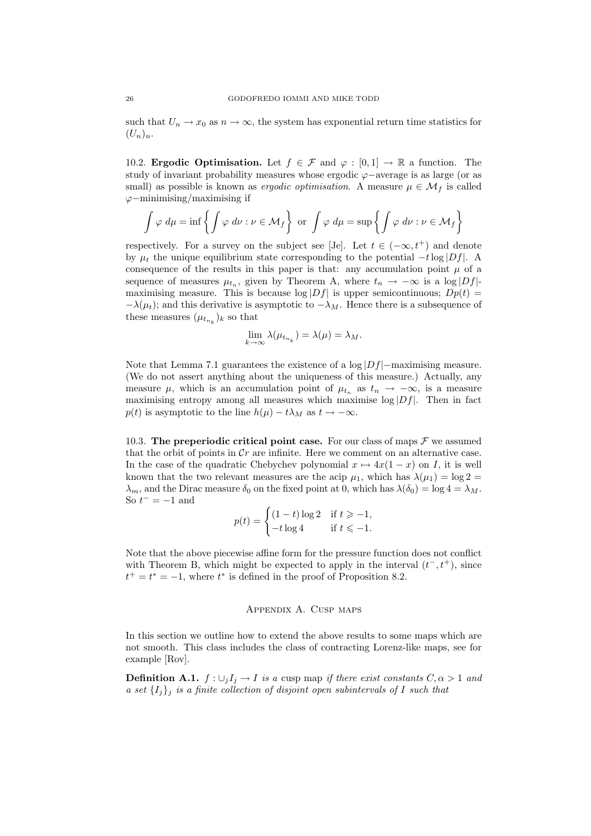such that  $U_n \to x_0$  as  $n \to \infty$ , the system has exponential return time statistics for  $(U_n)_n$ .

10.2. Ergodic Optimisation. Let  $f \in \mathcal{F}$  and  $\varphi : [0, 1] \to \mathbb{R}$  a function. The study of invariant probability measures whose ergodic ϕ−average is as large (or as small) as possible is known as *ergodic optimisation*. A measure  $\mu \in \mathcal{M}_f$  is called  $\varphi$ −minimising/maximising if

$$
\int \varphi \, d\mu = \inf \left\{ \int \varphi \, d\nu : \nu \in \mathcal{M}_f \right\} \text{ or } \int \varphi \, d\mu = \sup \left\{ \int \varphi \, d\nu : \nu \in \mathcal{M}_f \right\}
$$

respectively. For a survey on the subject see [Je]. Let  $t \in (-\infty, t^+)$  and denote by  $\mu_t$  the unique equilibrium state corresponding to the potential  $-t \log |Df|$ . A consequence of the results in this paper is that: any accumulation point  $\mu$  of a sequence of measures  $\mu_{t_n}$ , given by Theorem A, where  $t_n \to -\infty$  is a log |Df|maximising measure. This is because  $\log|Df|$  is upper semicontinuous;  $Dp(t)$  $-\lambda(\mu_t)$ ; and this derivative is asymptotic to  $-\lambda_M$ . Hence there is a subsequence of these measures  $(\mu_{t_{n_k}})_k$  so that

$$
\lim_{k \to \infty} \lambda(\mu_{t_{n_k}}) = \lambda(\mu) = \lambda_M.
$$

Note that Lemma 7.1 guarantees the existence of a  $\log|Df|$ −maximising measure. (We do not assert anything about the uniqueness of this measure.) Actually, any measure  $\mu$ , which is an accumulation point of  $\mu_{t_n}$  as  $t_n \to -\infty$ , is a measure maximising entropy among all measures which maximise  $log|Df|$ . Then in fact  $p(t)$  is asymptotic to the line  $h(\mu) - t\lambda_M$  as  $t \to -\infty$ .

10.3. The preperiodic critical point case. For our class of maps  $\mathcal F$  we assumed that the orbit of points in  $\mathcal{C}r$  are infinite. Here we comment on an alternative case. In the case of the quadratic Chebychev polynomial  $x \mapsto 4x(1-x)$  on I, it is well known that the two relevant measures are the acip  $\mu_1$ , which has  $\lambda(\mu_1) = \log 2 =$  $\lambda_m$ , and the Dirac measure  $\delta_0$  on the fixed point at 0, which has  $\lambda(\delta_0) = \log 4 = \lambda_M$ . So  $t^- = -1$  and

$$
p(t) = \begin{cases} (1-t)\log 2 & \text{if } t \ge -1, \\ -t\log 4 & \text{if } t \le -1. \end{cases}
$$

Note that the above piecewise affine form for the pressure function does not conflict with Theorem B, which might be expected to apply in the interval  $(t^-, t^+)$ , since  $t^+ = t^* = -1$ , where  $t^*$  is defined in the proof of Proposition 8.2.

#### Appendix A. Cusp maps

In this section we outline how to extend the above results to some maps which are not smooth. This class includes the class of contracting Lorenz-like maps, see for example [Rov].

**Definition A.1.**  $f: \bigcup_i I_i \to I$  is a cusp map if there exist constants  $C, \alpha > 1$  and a set  $\{I_i\}_i$  is a finite collection of disjoint open subintervals of I such that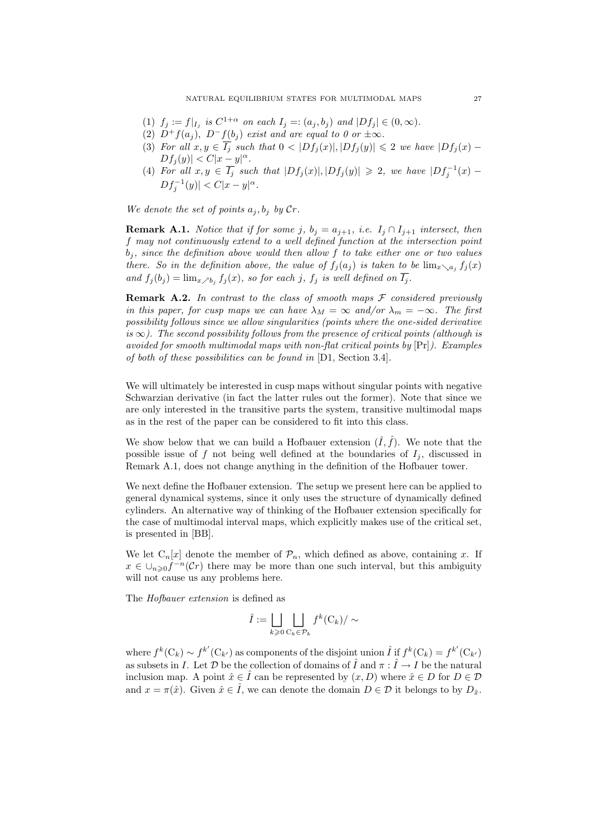- (1)  $f_j := f|_{I_j}$  is  $C^{1+\alpha}$  on each  $I_j =: (a_j, b_j)$  and  $|Df_j| \in (0, \infty)$ .
- (2)  $D^+f(a_j)$ ,  $D^-f(b_j)$  exist and are equal to 0 or  $\pm\infty$ .
- (3) For all  $x, y \in \overline{I_j}$  such that  $0 < |Df_j(x)|, |Df_j(y)| \leq 2$  we have  $|Df_j(x) Df_j(y)| < C|x-y|^{\alpha}.$
- (4) For all  $x, y \in \overline{I_j}$  such that  $|Df_j(x)|, |Df_j(y)| \geq 2$ , we have  $|Df_j^{-1}(x) Df_j^{-1}(y)| < C|x-y|^{\alpha}.$

We denote the set of points  $a_j, b_j$  by  $Cr$ .

**Remark A.1.** Notice that if for some j,  $b_j = a_{j+1}$ , i.e.  $I_j \cap I_{j+1}$  intersect, then f may not continuously extend to a well defined function at the intersection point  $b_i$ , since the definition above would then allow f to take either one or two values there. So in the definition above, the value of  $f_i(a_i)$  is taken to be  $\lim_{x\searrow a_i} f_i(x)$ and  $f_i(b_i) = \lim_{x \nearrow b_i} f_i(x)$ , so for each j,  $f_i$  is well defined on  $\overline{I_i}$ .

**Remark A.2.** In contrast to the class of smooth maps  $F$  considered previously in this paper, for cusp maps we can have  $\lambda_M = \infty$  and/or  $\lambda_m = -\infty$ . The first possibility follows since we allow singularities (points where the one-sided derivative is  $\infty$ ). The second possibility follows from the presence of critical points (although is avoided for smooth multimodal maps with non-flat critical points by [Pr]). Examples of both of these possibilities can be found in [D1, Section 3.4].

We will ultimately be interested in cusp maps without singular points with negative Schwarzian derivative (in fact the latter rules out the former). Note that since we are only interested in the transitive parts the system, transitive multimodal maps as in the rest of the paper can be considered to fit into this class.

We show below that we can build a Hofbauer extension  $(\hat{I}, \hat{f})$ . We note that the possible issue of f not being well defined at the boundaries of  $I_i$ , discussed in Remark A.1, does not change anything in the definition of the Hofbauer tower.

We next define the Hofbauer extension. The setup we present here can be applied to general dynamical systems, since it only uses the structure of dynamically defined cylinders. An alternative way of thinking of the Hofbauer extension specifically for the case of multimodal interval maps, which explicitly makes use of the critical set, is presented in [BB].

We let  $C_n[x]$  denote the member of  $\mathcal{P}_n$ , which defined as above, containing x. If  $x \in \bigcup_{n\geq 0} f^{-n}(\mathcal{C}_r)$  there may be more than one such interval, but this ambiguity will not cause us any problems here.

The Hofbauer extension is defined as

$$
\hat{I} := \bigsqcup_{k \geq 0} \bigsqcup_{\mathbf{C}_k \in \mathcal{P}_k} f^k(\mathbf{C}_k) / \sim
$$

where  $f^k(C_k) \sim f^{k'}(C_{k'})$  as components of the disjoint union  $\hat{I}$  if  $f^k(C_k) = f^{k'}(C_{k'})$ as subsets in I. Let  $\mathcal D$  be the collection of domains of  $\hat{I}$  and  $\pi : \hat{I} \to I$  be the natural inclusion map. A point  $\hat{x} \in \hat{I}$  can be represented by  $(x, D)$  where  $\hat{x} \in D$  for  $D \in \mathcal{D}$ and  $x = \pi(\hat{x})$ . Given  $\hat{x} \in \hat{I}$ , we can denote the domain  $D \in \mathcal{D}$  it belongs to by  $D_{\hat{x}}$ .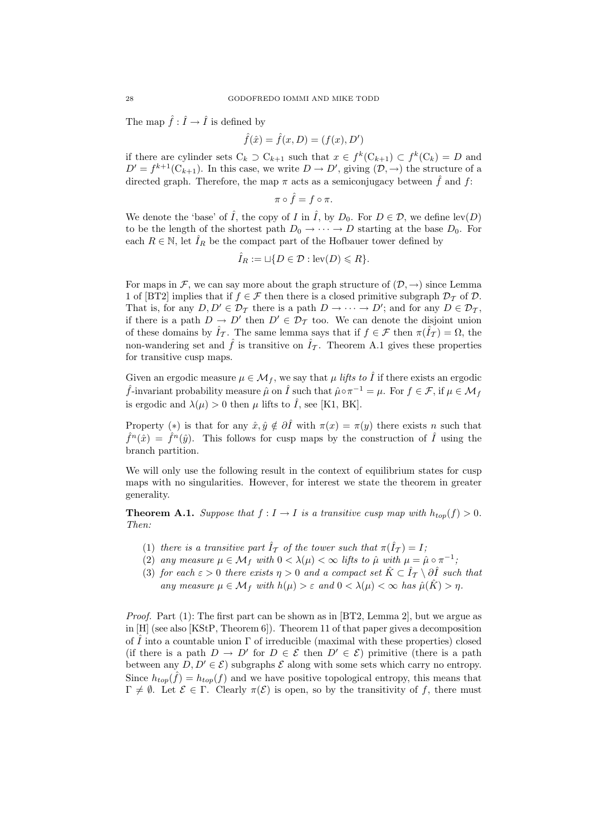The map  $\hat{f}: \hat{I} \to \hat{I}$  is defined by

$$
\hat{f}(\hat{x}) = \hat{f}(x, D) = (f(x), D')
$$

if there are cylinder sets  $C_k \supset C_{k+1}$  such that  $x \in f^k(C_{k+1}) \subset f^k(C_k) = D$  and  $D' = f^{k+1}(C_{k+1})$ . In this case, we write  $D \to D'$ , giving  $(D, \to)$  the structure of a directed graph. Therefore, the map  $\pi$  acts as a semiconjugacy between  $\hat{f}$  and f:

$$
\pi\circ\hat{f}=f\circ\pi.
$$

We denote the 'base' of  $\hat{I}$ , the copy of  $I$  in  $\hat{I}$ , by  $D_0$ . For  $D \in \mathcal{D}$ , we define lev(D) to be the length of the shortest path  $D_0 \rightarrow \cdots \rightarrow D$  starting at the base  $D_0$ . For each  $R \in \mathbb{N}$ , let  $\hat{I}_R$  be the compact part of the Hofbauer tower defined by

$$
\hat{I}_R := \sqcup \{ D \in \mathcal{D} : \text{lev}(D) \leq R \}.
$$

For maps in F, we can say more about the graph structure of  $(\mathcal{D}, \rightarrow)$  since Lemma 1 of [BT2] implies that if  $f \in \mathcal{F}$  then there is a closed primitive subgraph  $\mathcal{D}_{\mathcal{T}}$  of  $\mathcal{D}$ . That is, for any  $D, D' \in \mathcal{D}_{\mathcal{T}}$  there is a path  $D \to \cdots \to D'$ ; and for any  $D \in \mathcal{D}_{\mathcal{T}}$ , if there is a path  $D \to D'$  then  $D' \in \mathcal{D}_{\mathcal{T}}$  too. We can denote the disjoint union of these domains by  $\hat{I}_{\mathcal{T}}$ . The same lemma says that if  $f \in \mathcal{F}$  then  $\pi(\hat{I}_{\mathcal{T}}) = \Omega$ , the non-wandering set and  $\hat{f}$  is transitive on  $\hat{I}_{\tau}$ . Theorem A.1 gives these properties for transitive cusp maps.

Given an ergodic measure  $\mu \in \mathcal{M}_f$ , we say that  $\mu$  lifts to  $\hat{I}$  if there exists an ergodic  $\hat{f}$ -invariant probability measure  $\hat{\mu}$  on  $\hat{I}$  such that  $\hat{\mu} \circ \pi^{-1} = \mu$ . For  $f \in \mathcal{F}$ , if  $\mu \in \mathcal{M}_f$ is ergodic and  $\lambda(\mu) > 0$  then  $\mu$  lifts to  $\hat{I}$ , see [K1, BK].

Property (\*) is that for any  $\hat{x}, \hat{y} \notin \partial \hat{I}$  with  $\pi(x) = \pi(y)$  there exists n such that  $\hat{f}^n(\hat{x}) = \hat{f}^n(\hat{y})$ . This follows for cusp maps by the construction of  $\hat{I}$  using the branch partition.

We will only use the following result in the context of equilibrium states for cusp maps with no singularities. However, for interest we state the theorem in greater generality.

**Theorem A.1.** Suppose that  $f : I \to I$  is a transitive cusp map with  $h_{top}(f) > 0$ . Then:

- (1) there is a transitive part  $\hat{I}_{\mathcal{T}}$  of the tower such that  $\pi(\hat{I}_{\mathcal{T}}) = I$ ;
- (2) any measure  $\mu \in \mathcal{M}_f$  with  $0 < \lambda(\mu) < \infty$  lifts to  $\hat{\mu}$  with  $\mu = \hat{\mu} \circ \pi^{-1}$ ;
- (3) for each  $\varepsilon > 0$  there exists  $\eta > 0$  and a compact set  $\hat{K} \subset \hat{I}_{\mathcal{T}} \setminus \partial \hat{I}$  such that any measure  $\mu \in \mathcal{M}_f$  with  $h(\mu) > \varepsilon$  and  $0 < \lambda(\mu) < \infty$  has  $\hat{\mu}(\hat{K}) > \eta$ .

*Proof.* Part  $(1)$ : The first part can be shown as in [BT2, Lemma 2], but we argue as in [H] (see also [KStP, Theorem 6]). Theorem 11 of that paper gives a decomposition of  $\tilde{I}$  into a countable union  $\Gamma$  of irreducible (maximal with these properties) closed (if there is a path  $D \to D'$  for  $D \in \mathcal{E}$  then  $D' \in \mathcal{E}$ ) primitive (there is a path between any  $D, D' \in \mathcal{E}$ ) subgraphs  $\mathcal{E}$  along with some sets which carry no entropy. Since  $h_{top}(\hat{f}) = h_{top}(f)$  and we have positive topological entropy, this means that  $\Gamma \neq \emptyset$ . Let  $\mathcal{E} \in \Gamma$ . Clearly  $\pi(\mathcal{E})$  is open, so by the transitivity of f, there must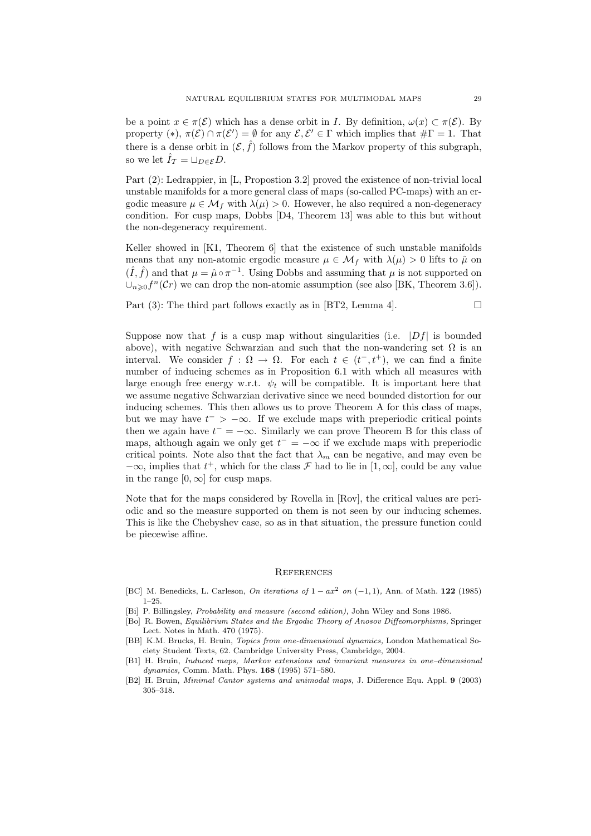be a point  $x \in \pi(\mathcal{E})$  which has a dense orbit in I. By definition,  $\omega(x) \subset \pi(\mathcal{E})$ . By property (\*),  $\pi(\mathcal{E}) \cap \pi(\mathcal{E}') = \emptyset$  for any  $\mathcal{E}, \mathcal{E}' \in \Gamma$  which implies that  $\#\Gamma = 1$ . That there is a dense orbit in  $(\mathcal{E}, \hat{f})$  follows from the Markov property of this subgraph, so we let  $\hat{I}_{\mathcal{T}} = \sqcup_{D \in \mathcal{E}} D$ .

Part (2): Ledrappier, in [L, Propostion 3.2] proved the existence of non-trivial local unstable manifolds for a more general class of maps (so-called PC-maps) with an ergodic measure  $\mu \in \mathcal{M}_f$  with  $\lambda(\mu) > 0$ . However, he also required a non-degeneracy condition. For cusp maps, Dobbs [D4, Theorem 13] was able to this but without the non-degeneracy requirement.

Keller showed in [K1, Theorem 6] that the existence of such unstable manifolds means that any non-atomic ergodic measure  $\mu \in \mathcal{M}_f$  with  $\lambda(\mu) > 0$  lifts to  $\hat{\mu}$  on  $(\hat{I}, \hat{f})$  and that  $\mu = \hat{\mu} \circ \pi^{-1}$ . Using Dobbs and assuming that  $\mu$  is not supported on  $\cup_{n\geqslant 0}f^n(\mathcal{C}r)$  we can drop the non-atomic assumption (see also [BK, Theorem 3.6]).

Part (3): The third part follows exactly as in [BT2, Lemma 4].  $\Box$ 

Suppose now that f is a cusp map without singularities (i.e.  $|Df|$  is bounded above), with negative Schwarzian and such that the non-wandering set  $\Omega$  is an interval. We consider  $f : \Omega \to \Omega$ . For each  $t \in (t^-, t^+)$ , we can find a finite number of inducing schemes as in Proposition 6.1 with which all measures with large enough free energy w.r.t.  $\psi_t$  will be compatible. It is important here that we assume negative Schwarzian derivative since we need bounded distortion for our inducing schemes. This then allows us to prove Theorem A for this class of maps, but we may have  $t^{-} > -\infty$ . If we exclude maps with preperiodic critical points then we again have  $t^- = -\infty$ . Similarly we can prove Theorem B for this class of maps, although again we only get  $t^- = -\infty$  if we exclude maps with preperiodic critical points. Note also that the fact that  $\lambda_m$  can be negative, and may even be  $-\infty$ , implies that  $t^+$ , which for the class  $\mathcal F$  had to lie in  $[1,\infty]$ , could be any value in the range  $[0, \infty]$  for cusp maps.

Note that for the maps considered by Rovella in [Rov], the critical values are periodic and so the measure supported on them is not seen by our inducing schemes. This is like the Chebyshev case, so as in that situation, the pressure function could be piecewise affine.

# **REFERENCES**

- [BC] M. Benedicks, L. Carleson, On iterations of  $1 ax^2$  on  $(-1, 1)$ , Ann. of Math. 122 (1985) 1–25.
- [Bi] P. Billingsley, Probability and measure (second edition), John Wiley and Sons 1986.
- [Bo] R. Bowen, Equilibrium States and the Ergodic Theory of Anosov Diffeomorphisms, Springer Lect. Notes in Math. 470 (1975).
- [BB] K.M. Brucks, H. Bruin, Topics from one-dimensional dynamics, London Mathematical Society Student Texts, 62. Cambridge University Press, Cambridge, 2004.
- [B1] H. Bruin, Induced maps, Markov extensions and invariant measures in one–dimensional dynamics, Comm. Math. Phys. 168 (1995) 571–580.
- [B2] H. Bruin, Minimal Cantor systems and unimodal maps, J. Difference Equ. Appl. 9 (2003) 305–318.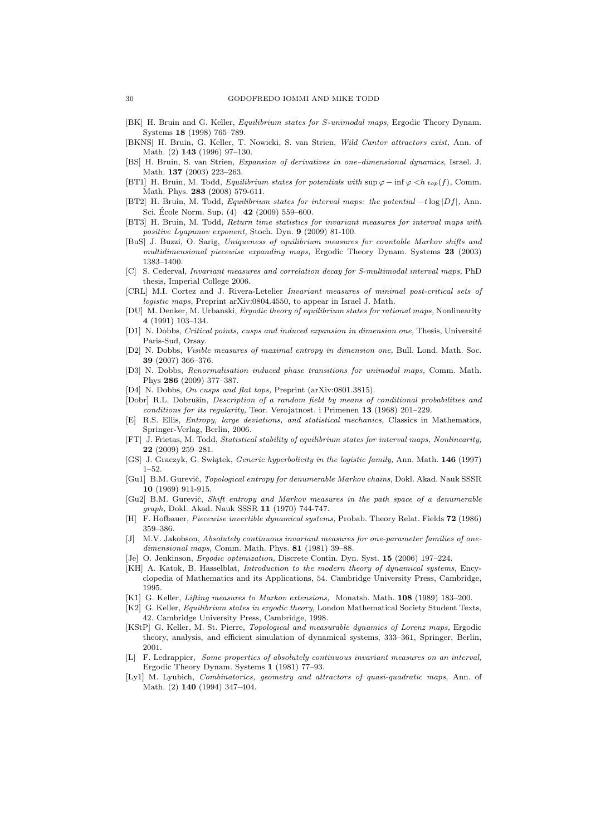- [BK] H. Bruin and G. Keller, Equilibrium states for S-unimodal maps, Ergodic Theory Dynam. Systems 18 (1998) 765–789.
- [BKNS] H. Bruin, G. Keller, T. Nowicki, S. van Strien, Wild Cantor attractors exist, Ann. of Math. (2) 143 (1996) 97–130.
- [BS] H. Bruin, S. van Strien, Expansion of derivatives in one–dimensional dynamics, Israel. J. Math. 137 (2003) 223–263.
- [BT1] H. Bruin, M. Todd, Equilibrium states for potentials with sup ϕ − inf ϕ <h *top*(f), Comm. Math. Phys. 283 (2008) 579-611.
- [BT2] H. Bruin, M. Todd, Equilibrium states for interval maps: the potential -t log |Df|, Ann. Sci. École Norm. Sup.  $(4)$  **42**  $(2009)$  559–600.
- [BT3] H. Bruin, M. Todd, Return time statistics for invariant measures for interval maps with positive Lyapunov exponent, Stoch. Dyn. 9 (2009) 81-100.
- [BuS] J. Buzzi, O. Sarig, Uniqueness of equilibrium measures for countable Markov shifts and multidimensional piecewise expanding maps, Ergodic Theory Dynam. Systems 23 (2003) 1383–1400.
- [C] S. Cederval, Invariant measures and correlation decay for S-multimodal interval maps, PhD thesis, Imperial College 2006.
- [CRL] M.I. Cortez and J. Rivera-Letelier Invariant measures of minimal post-critical sets of logistic maps, Preprint arXiv:0804.4550, to appear in Israel J. Math.
- [DU] M. Denker, M. Urbanski, Ergodic theory of equilibrium states for rational maps, Nonlinearity 4 (1991) 103–134.
- [D1] N. Dobbs, Critical points, cusps and induced expansion in dimension one, Thesis, Université Paris-Sud, Orsay.
- [D2] N. Dobbs, Visible measures of maximal entropy in dimension one, Bull. Lond. Math. Soc. 39 (2007) 366–376.
- [D3] N. Dobbs, Renormalisation induced phase transitions for unimodal maps, Comm. Math. Phys 286 (2009) 377–387.
- [D4] N. Dobbs, On cusps and flat tops, Preprint (arXiv:0801.3815).
- [Dobr] R.L. Dobrušin, *Description of a random field by means of conditional probabilities and* conditions for its regularity, Teor. Verojatnost. i Primenen 13 (1968) 201–229.
- [E] R.S. Ellis, Entropy, large deviations, and statistical mechanics, Classics in Mathematics, Springer-Verlag, Berlin, 2006.
- [FT] J. Frietas, M. Todd, Statistical stability of equilibrium states for interval maps, Nonlinearity, 22 (2009) 259–281.
- [GS] J. Graczyk, G. Swiątek, Generic hyperbolicity in the logistic family, Ann. Math. 146 (1997) 1–52.
- [Gu1] B.M. Gurevič, Topological entropy for denumerable Markov chains, Dokl. Akad. Nauk SSSR 10 (1969) 911-915.
- [Gu2] B.M. Gurevič, Shift entropy and Markov measures in the path space of a denumerable graph, Dokl. Akad. Nauk SSSR 11 (1970) 744-747.
- [H] F. Hofbauer, *Piecewise invertible dynamical systems*, Probab. Theory Relat. Fields **72** (1986) 359–386.
- [J] M.V. Jakobson, Absolutely continuous invariant measures for one-parameter families of onedimensional maps, Comm. Math. Phys. 81 (1981) 39-88.
- [Je] O. Jenkinson, Ergodic optimization, Discrete Contin. Dyn. Syst. 15 (2006) 197–224.
- [KH] A. Katok, B. Hasselblat, Introduction to the modern theory of dynamical systems, Encyclopedia of Mathematics and its Applications, 54. Cambridge University Press, Cambridge, 1995.
- [K1] G. Keller, Lifting measures to Markov extensions, Monatsh. Math. 108 (1989) 183–200.
- [K2] G. Keller, Equilibrium states in ergodic theory, London Mathematical Society Student Texts, 42. Cambridge University Press, Cambridge, 1998.
- [KStP] G. Keller, M. St. Pierre, Topological and measurable dynamics of Lorenz maps, Ergodic theory, analysis, and efficient simulation of dynamical systems, 333–361, Springer, Berlin, 2001.
- [L] F. Ledrappier, Some properties of absolutely continuous invariant measures on an interval, Ergodic Theory Dynam. Systems 1 (1981) 77–93.
- [Ly1] M. Lyubich, *Combinatorics, geometry and attractors of quasi-quadratic maps*, Ann. of Math. (2) 140 (1994) 347–404.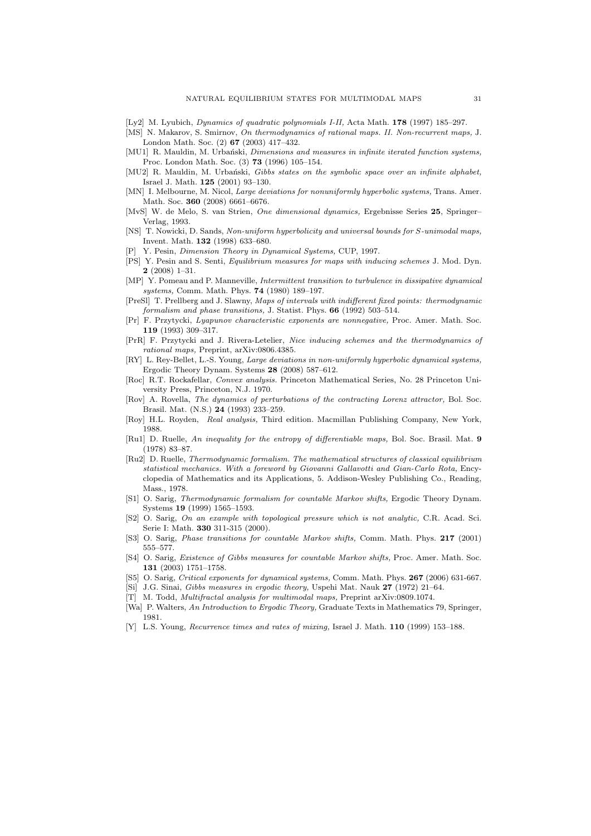- [Ly2] M. Lyubich, Dynamics of quadratic polynomials I-II, Acta Math. 178 (1997) 185–297.
- [MS] N. Makarov, S. Smirnov, On thermodynamics of rational maps. II. Non-recurrent maps, J. London Math. Soc. (2) 67 (2003) 417–432.
- [MU1] R. Mauldin, M. Urbański, Dimensions and measures in infinite iterated function systems, Proc. London Math. Soc. (3) 73 (1996) 105–154.
- [MU2] R. Mauldin, M. Urbański, Gibbs states on the symbolic space over an infinite alphabet, Israel J. Math. 125 (2001) 93–130.
- [MN] I. Melbourne, M. Nicol, *Large deviations for nonuniformly hyperbolic systems*, Trans. Amer. Math. Soc. 360 (2008) 6661–6676.
- [MvS] W. de Melo, S. van Strien, One dimensional dynamics, Ergebnisse Series 25, Springer– Verlag, 1993.
- [NS] T. Nowicki, D. Sands, Non-uniform hyperbolicity and universal bounds for S-unimodal maps, Invent. Math. 132 (1998) 633–680.
- Y. Pesin, Dimension Theory in Dynamical Systems, CUP, 1997.
- [PS] Y. Pesin and S. Senti, Equilibrium measures for maps with inducing schemes J. Mod. Dyn. 2 (2008) 1–31.
- [MP] Y. Pomeau and P. Manneville, Intermittent transition to turbulence in dissipative dynamical systems, Comm. Math. Phys. 74 (1980) 189–197.
- [PreSl] T. Prellberg and J. Slawny, Maps of intervals with indifferent fixed points: thermodynamic formalism and phase transitions, J. Statist. Phys. 66 (1992) 503–514.
- [Pr] F. Przytycki, Lyapunov characteristic exponents are nonnegative, Proc. Amer. Math. Soc. 119 (1993) 309–317.
- [PrR] F. Przytycki and J. Rivera-Letelier, Nice inducing schemes and the thermodynamics of rational maps, Preprint, arXiv:0806.4385.
- [RY] L. Rey-Bellet, L.-S. Young, Large deviations in non-uniformly hyperbolic dynamical systems, Ergodic Theory Dynam. Systems 28 (2008) 587–612.
- [Roc] R.T. Rockafellar, Convex analysis. Princeton Mathematical Series, No. 28 Princeton University Press, Princeton, N.J. 1970.
- [Rov] A. Rovella, The dynamics of perturbations of the contracting Lorenz attractor, Bol. Soc. Brasil. Mat. (N.S.) 24 (1993) 233–259.
- [Roy] H.L. Royden, Real analysis, Third edition. Macmillan Publishing Company, New York, 1988.
- [Ru1] D. Ruelle, An inequality for the entropy of differentiable maps, Bol. Soc. Brasil. Mat. 9 (1978) 83–87.
- [Ru2] D. Ruelle, Thermodynamic formalism. The mathematical structures of classical equilibrium statistical mechanics. With a foreword by Giovanni Gallavotti and Gian-Carlo Rota, Encyclopedia of Mathematics and its Applications, 5. Addison-Wesley Publishing Co., Reading, Mass., 1978.
- [S1] O. Sarig, Thermodynamic formalism for countable Markov shifts, Ergodic Theory Dynam. Systems 19 (1999) 1565–1593.
- [S2] O. Sarig, On an example with topological pressure which is not analytic, C.R. Acad. Sci. Serie I: Math. 330 311-315 (2000).
- [S3] O. Sarig, Phase transitions for countable Markov shifts, Comm. Math. Phys. 217 (2001) 555–577.
- [S4] O. Sarig, Existence of Gibbs measures for countable Markov shifts, Proc. Amer. Math. Soc. 131 (2003) 1751–1758.
- [S5] O. Sarig, Critical exponents for dynamical systems, Comm. Math. Phys. 267 (2006) 631-667.
- [Si] J.G. Sinai, Gibbs measures in ergodic theory, Uspehi Mat. Nauk 27 (1972) 21–64.
- [T] M. Todd, Multifractal analysis for multimodal maps, Preprint arXiv:0809.1074.
- [Wa] P. Walters, An Introduction to Ergodic Theory, Graduate Texts in Mathematics 79, Springer, 1981.
- [Y] L.S. Young, Recurrence times and rates of mixing, Israel J. Math. 110 (1999) 153–188.